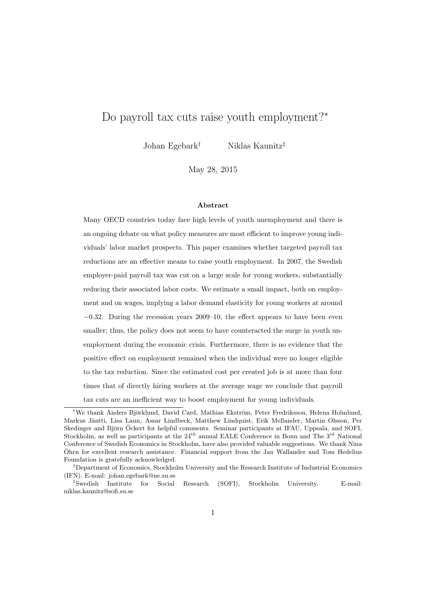# Do payroll tax cuts raise youth employment?<sup>∗</sup>

Johan Egebark† Niklas Kaunitz‡

May 28, 2015

#### Abstract

Many OECD countries today face high levels of youth unemployment and there is an ongoing debate on what policy measures are most efficient to improve young individuals' labor market prospects. This paper examines whether targeted payroll tax reductions are an effective means to raise youth employment. In 2007, the Swedish employer-paid payroll tax was cut on a large scale for young workers, substantially reducing their associated labor costs. We estimate a small impact, both on employment and on wages, implying a labor demand elasticity for young workers at around −0.32. During the recession years 2009–10, the effect appears to have been even smaller; thus, the policy does not seem to have counteracted the surge in youth unemployment during the economic crisis. Furthermore, there is no evidence that the positive effect on employment remained when the individual were no longer eligible to the tax reduction. Since the estimated cost per created job is at more than four times that of directly hiring workers at the average wage we conclude that payroll tax cuts are an inefficient way to boost employment for young individuals.

<sup>\*</sup>We thank Anders Björklund, David Card, Mathias Ekström, Peter Fredriksson, Helena Holmlund, Markus Jäntti, Lisa Laun, Assar Lindbeck, Matthew Lindquist, Erik Mellander, Martin Olsson, Per Skedinger and Björn Öckert for helpful comments. Seminar participants at IFAU, Uppsala, and SOFI, Stockholm, as well as participants at the 24<sup>th</sup> annual EALE Conference in Bonn and The 3<sup>rd</sup> National Conference of Swedish Economics in Stockholm, have also provided valuable suggestions. We thank Nina Ohrn for excellent research assistance. Financial support from the Jan Wallander and Tom Hedelius ¨ Foundation is gratefully acknowledged.

<sup>†</sup>Department of Economics, Stockholm University and the Research Institute of Industrial Economics (IFN). E-mail: johan.egebark@ne.su.se

<sup>‡</sup>Swedish Institute for Social Research (SOFI), Stockholm University. E-mail: niklas.kaunitz@sofi.su.se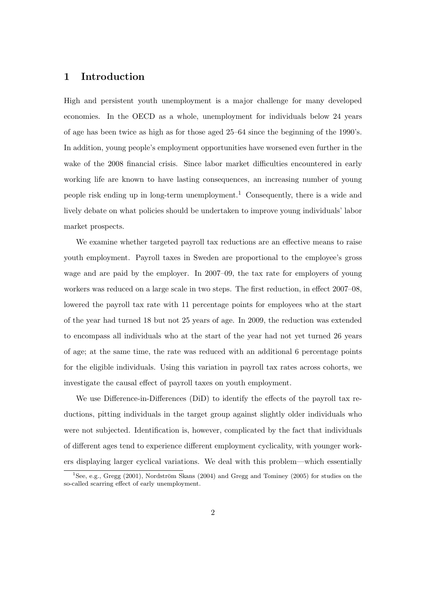# 1 Introduction

High and persistent youth unemployment is a major challenge for many developed economies. In the OECD as a whole, unemployment for individuals below 24 years of age has been twice as high as for those aged 25–64 since the beginning of the 1990's. In addition, young people's employment opportunities have worsened even further in the wake of the 2008 financial crisis. Since labor market difficulties encountered in early working life are known to have lasting consequences, an increasing number of young people risk ending up in long-term unemployment.<sup>[1](#page-1-0)</sup> Consequently, there is a wide and lively debate on what policies should be undertaken to improve young individuals' labor market prospects.

We examine whether targeted payroll tax reductions are an effective means to raise youth employment. Payroll taxes in Sweden are proportional to the employee's gross wage and are paid by the employer. In 2007–09, the tax rate for employers of young workers was reduced on a large scale in two steps. The first reduction, in effect 2007–08, lowered the payroll tax rate with 11 percentage points for employees who at the start of the year had turned 18 but not 25 years of age. In 2009, the reduction was extended to encompass all individuals who at the start of the year had not yet turned 26 years of age; at the same time, the rate was reduced with an additional 6 percentage points for the eligible individuals. Using this variation in payroll tax rates across cohorts, we investigate the causal effect of payroll taxes on youth employment.

We use Difference-in-Differences (DiD) to identify the effects of the payroll tax reductions, pitting individuals in the target group against slightly older individuals who were not subjected. Identification is, however, complicated by the fact that individuals of different ages tend to experience different employment cyclicality, with younger workers displaying larger cyclical variations. We deal with this problem—which essentially

<span id="page-1-0"></span><sup>&</sup>lt;sup>1</sup>See, e.g., [Gregg](#page-45-0) [\(2001\)](#page-45-0), Nordström Skans [\(2004\)](#page-46-0) and [Gregg and Tominey](#page-45-1) [\(2005\)](#page-45-1) for studies on the so-called scarring effect of early unemployment.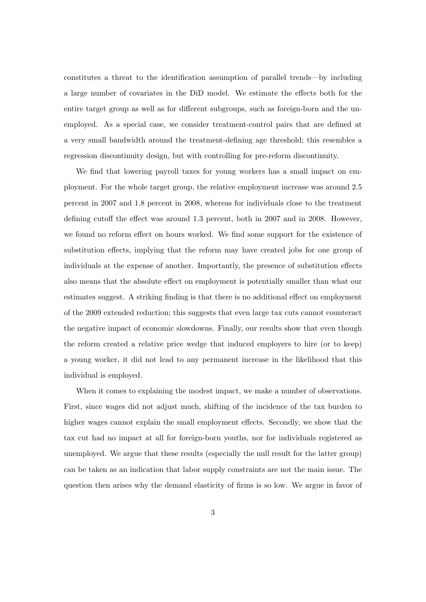constitutes a threat to the identification assumption of parallel trends—by including a large number of covariates in the DiD model. We estimate the effects both for the entire target group as well as for different subgroups, such as foreign-born and the unemployed. As a special case, we consider treatment-control pairs that are defined at a very small bandwidth around the treatment-defining age threshold; this resembles a regression discontinuity design, but with controlling for pre-reform discontinuity.

We find that lowering payroll taxes for young workers has a small impact on employment. For the whole target group, the relative employment increase was around 2.5 percent in 2007 and 1.8 percent in 2008, whereas for individuals close to the treatment defining cutoff the effect was around 1.3 percent, both in 2007 and in 2008. However, we found no reform effect on hours worked. We find some support for the existence of substitution effects, implying that the reform may have created jobs for one group of individuals at the expense of another. Importantly, the presence of substitution effects also means that the absolute effect on employment is potentially smaller than what our estimates suggest. A striking finding is that there is no additional effect on employment of the 2009 extended reduction; this suggests that even large tax cuts cannot counteract the negative impact of economic slowdowns. Finally, our results show that even though the reform created a relative price wedge that induced employers to hire (or to keep) a young worker, it did not lead to any permanent increase in the likelihood that this individual is employed.

When it comes to explaining the modest impact, we make a number of observations. First, since wages did not adjust much, shifting of the incidence of the tax burden to higher wages cannot explain the small employment effects. Secondly, we show that the tax cut had no impact at all for foreign-born youths, nor for individuals registered as unemployed. We argue that these results (especially the null result for the latter group) can be taken as an indication that labor supply constraints are not the main issue. The question then arises why the demand elasticity of firms is so low. We argue in favor of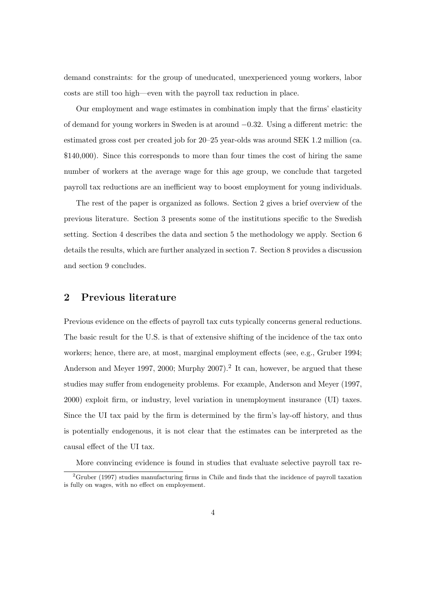demand constraints: for the group of uneducated, unexperienced young workers, labor costs are still too high—even with the payroll tax reduction in place.

Our employment and wage estimates in combination imply that the firms' elasticity of demand for young workers in Sweden is at around −0.32. Using a different metric: the estimated gross cost per created job for 20–25 year-olds was around SEK 1.2 million (ca. \$140,000). Since this corresponds to more than four times the cost of hiring the same number of workers at the average wage for this age group, we conclude that targeted payroll tax reductions are an inefficient way to boost employment for young individuals.

The rest of the paper is organized as follows. Section [2](#page-3-0) gives a brief overview of the previous literature. Section [3](#page-5-0) presents some of the institutions specific to the Swedish setting. Section [4](#page-10-0) describes the data and section [5](#page-15-0) the methodology we apply. Section [6](#page-24-0) details the results, which are further analyzed in section [7.](#page-35-0) Section [8](#page-39-0) provides a discussion and section [9](#page-43-0) concludes.

# <span id="page-3-0"></span>2 Previous literature

Previous evidence on the effects of payroll tax cuts typically concerns general reductions. The basic result for the U.S. is that of extensive shifting of the incidence of the tax onto workers; hence, there are, at most, marginal employment effects (see, e.g., [Gruber 1994;](#page-45-2) [Anderson and Meyer 1997,](#page-44-0) [2000;](#page-44-1) [Murphy 2007\)](#page-46-1).<sup>[2](#page-3-1)</sup> It can, however, be argued that these studies may suffer from endogeneity problems. For example, [Anderson and Meyer](#page-44-0) [\(1997,](#page-44-0) [2000\)](#page-44-1) exploit firm, or industry, level variation in unemployment insurance (UI) taxes. Since the UI tax paid by the firm is determined by the firm's lay-off history, and thus is potentially endogenous, it is not clear that the estimates can be interpreted as the causal effect of the UI tax.

More convincing evidence is found in studies that evaluate selective payroll tax re-

<span id="page-3-1"></span><sup>&</sup>lt;sup>2</sup>[Gruber](#page-45-3) [\(1997\)](#page-45-3) studies manufacturing firms in Chile and finds that the incidence of payroll taxation is fully on wages, with no effect on employement.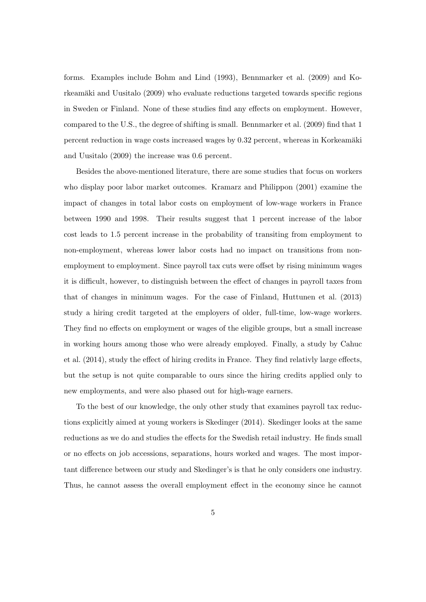forms. Examples include [Bohm and Lind](#page-44-2) [\(1993\)](#page-44-2), [Bennmarker et al.](#page-44-3) [\(2009\)](#page-44-3) and [Ko-](#page-45-4)rkeamäki and Uusitalo [\(2009\)](#page-45-4) who evaluate reductions targeted towards specific regions in Sweden or Finland. None of these studies find any effects on employment. However, compared to the U.S., the degree of shifting is small. [Bennmarker et al.](#page-44-3) [\(2009\)](#page-44-3) find that 1 percent reduction in wage costs increased wages by  $0.32$  percent, whereas in Korkeamäki [and Uusitalo](#page-45-4) [\(2009\)](#page-45-4) the increase was 0.6 percent.

Besides the above-mentioned literature, there are some studies that focus on workers who display poor labor market outcomes. [Kramarz and Philippon](#page-46-2) [\(2001\)](#page-46-2) examine the impact of changes in total labor costs on employment of low-wage workers in France between 1990 and 1998. Their results suggest that 1 percent increase of the labor cost leads to 1.5 percent increase in the probability of transiting from employment to non-employment, whereas lower labor costs had no impact on transitions from nonemployment to employment. Since payroll tax cuts were offset by rising minimum wages it is difficult, however, to distinguish between the effect of changes in payroll taxes from that of changes in minimum wages. For the case of Finland, [Huttunen et al.](#page-45-5) [\(2013\)](#page-45-5) study a hiring credit targeted at the employers of older, full-time, low-wage workers. They find no effects on employment or wages of the eligible groups, but a small increase in working hours among those who were already employed. Finally, a study by [Cahuc](#page-44-4) [et al.](#page-44-4) [\(2014\)](#page-44-4), study the effect of hiring credits in France. They find relativly large effects, but the setup is not quite comparable to ours since the hiring credits applied only to new employments, and were also phased out for high-wage earners.

To the best of our knowledge, the only other study that examines payroll tax reductions explicitly aimed at young workers is [Skedinger](#page-46-3) [\(2014\)](#page-46-3). Skedinger looks at the same reductions as we do and studies the effects for the Swedish retail industry. He finds small or no effects on job accessions, separations, hours worked and wages. The most important difference between our study and Skedinger's is that he only considers one industry. Thus, he cannot assess the overall employment effect in the economy since he cannot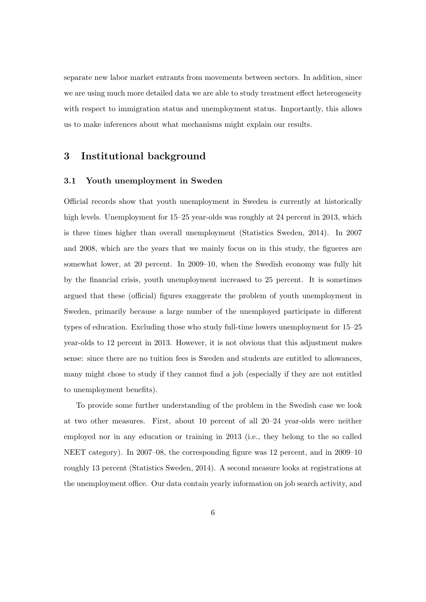separate new labor market entrants from movements between sectors. In addition, since we are using much more detailed data we are able to study treatment effect heterogeneity with respect to immigration status and unemployment status. Importantly, this allows us to make inferences about what mechanisms might explain our results.

# <span id="page-5-0"></span>3 Institutional background

#### 3.1 Youth unemployment in Sweden

Official records show that youth unemployment in Sweden is currently at historically high levels. Unemployment for 15–25 year-olds was roughly at 24 percent in 2013, which is three times higher than overall unemployment [\(Statistics Sweden, 2014\)](#page-46-4). In 2007 and 2008, which are the years that we mainly focus on in this study, the figueres are somewhat lower, at 20 percent. In 2009–10, when the Swedish economy was fully hit by the financial crisis, youth unemployment increased to 25 percent. It is sometimes argued that these (official) figures exaggerate the problem of youth unemployment in Sweden, primarily because a large number of the unemployed participate in different types of education. Excluding those who study full-time lowers unemployment for 15–25 year-olds to 12 percent in 2013. However, it is not obvious that this adjustment makes sense: since there are no tuition fees is Sweden and students are entitled to allowances, many might chose to study if they cannot find a job (especially if they are not entitled to unemployment benefits).

To provide some further understanding of the problem in the Swedish case we look at two other measures. First, about 10 percent of all 20–24 year-olds were neither employed nor in any education or training in 2013 (i.e., they belong to the so called NEET category). In 2007–08, the corresponding figure was 12 percent, and in 2009–10 roughly 13 percent [\(Statistics Sweden, 2014\)](#page-46-4). A second measure looks at registrations at the unemployment office. Our data contain yearly information on job search activity, and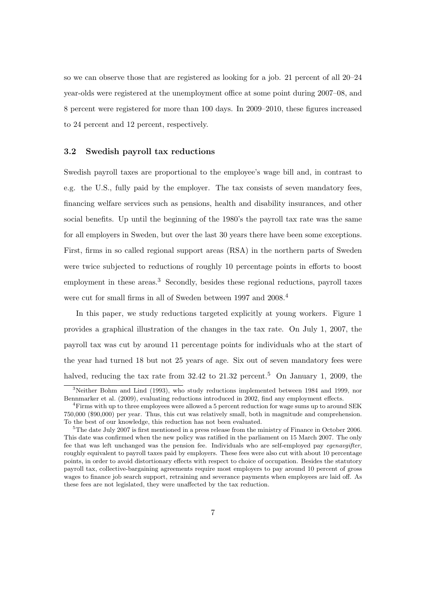so we can observe those that are registered as looking for a job. 21 percent of all 20–24 year-olds were registered at the unemployment office at some point during 2007–08, and 8 percent were registered for more than 100 days. In 2009–2010, these figures increased to 24 percent and 12 percent, respectively.

#### 3.2 Swedish payroll tax reductions

Swedish payroll taxes are proportional to the employee's wage bill and, in contrast to e.g. the U.S., fully paid by the employer. The tax consists of seven mandatory fees, financing welfare services such as pensions, health and disability insurances, and other social benefits. Up until the beginning of the 1980's the payroll tax rate was the same for all employers in Sweden, but over the last 30 years there have been some exceptions. First, firms in so called regional support areas (RSA) in the northern parts of Sweden were twice subjected to reductions of roughly 10 percentage points in efforts to boost employment in these areas.<sup>[3](#page-6-0)</sup> Secondly, besides these regional reductions, payroll taxes were cut for small firms in all of Sweden between 1997 and 2008.<sup>[4](#page-6-1)</sup>

In this paper, we study reductions targeted explicitly at young workers. Figure [1](#page-7-0) provides a graphical illustration of the changes in the tax rate. On July 1, 2007, the payroll tax was cut by around 11 percentage points for individuals who at the start of the year had turned 18 but not 25 years of age. Six out of seven mandatory fees were halved, reducing the tax rate from  $32.42$  to  $21.32$  percent.<sup>[5](#page-6-2)</sup> On January 1, 2009, the

<span id="page-6-0"></span><sup>3</sup>Neither [Bohm and Lind](#page-44-2) [\(1993\)](#page-44-2), who study reductions implemented between 1984 and 1999, nor [Bennmarker et al.](#page-44-3) [\(2009\)](#page-44-3), evaluating reductions introduced in 2002, find any employment effects.

<span id="page-6-1"></span><sup>&</sup>lt;sup>4</sup>Firms with up to three employees were allowed a 5 percent reduction for wage sums up to around SEK 750,000 (\$90,000) per year. Thus, this cut was relatively small, both in magnitude and comprehension. To the best of our knowledge, this reduction has not been evaluated.

<span id="page-6-2"></span><sup>&</sup>lt;sup>5</sup>The date July 2007 is first mentioned in a press release from the ministry of Finance in October 2006. This date was confirmed when the new policy was ratified in the parliament on 15 March 2007. The only fee that was left unchanged was the pension fee. Individuals who are self-employed pay *egenavgifter*, roughly equivalent to payroll taxes paid by employers. These fees were also cut with about 10 percentage points, in order to avoid distortionary effects with respect to choice of occupation. Besides the statutory payroll tax, collective-bargaining agreements require most employers to pay around 10 percent of gross wages to finance job search support, retraining and severance payments when employees are laid off. As these fees are not legislated, they were unaffected by the tax reduction.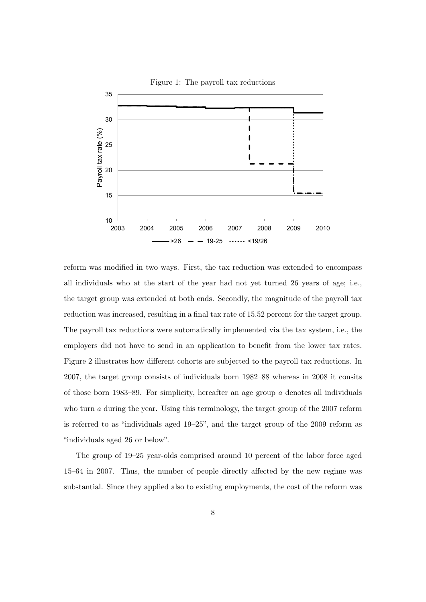

reform was modified in two ways. First, the tax reduction was extended to encompass all individuals who at the start of the year had not yet turned 26 years of age; i.e., the target group was extended at both ends. Secondly, the magnitude of the payroll tax reduction was increased, resulting in a final tax rate of 15.52 percent for the target group. The payroll tax reductions were automatically implemented via the tax system, i.e., the employers did not have to send in an application to benefit from the lower tax rates. Figure [2](#page-8-0) illustrates how different cohorts are subjected to the payroll tax reductions. In 2007, the target group consists of individuals born 1982–88 whereas in 2008 it consits of those born 1983–89. For simplicity, hereafter an age group  $\alpha$  denotes all individuals who turn a during the year. Using this terminology, the target group of the 2007 reform is referred to as "individuals aged 19–25", and the target group of the 2009 reform as "individuals aged 26 or below".

The group of 19–25 year-olds comprised around 10 percent of the labor force aged 15–64 in 2007. Thus, the number of people directly affected by the new regime was substantial. Since they applied also to existing employments, the cost of the reform was

<span id="page-7-0"></span>Figure 1: The payroll tax reductions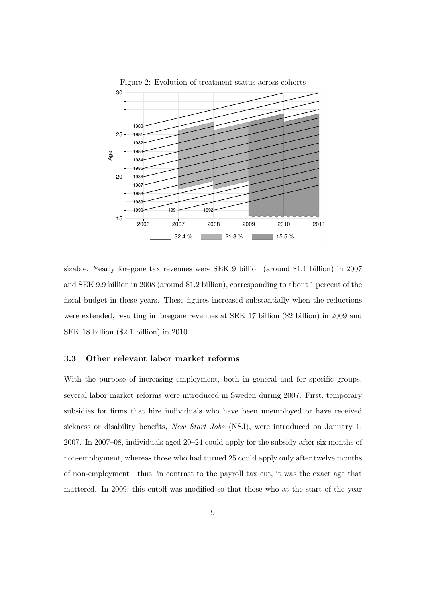

<span id="page-8-0"></span>Figure 2: Evolution of treatment status across cohorts

sizable. Yearly foregone tax revenues were SEK 9 billion (around \$1.1 billion) in 2007 and SEK 9.9 billion in 2008 (around \$1.2 billion), corresponding to about 1 percent of the fiscal budget in these years. These figures increased substantially when the reductions were extended, resulting in foregone revenues at SEK 17 billion (\$2 billion) in 2009 and SEK 18 billion (\$2.1 billion) in 2010.

#### 3.3 Other relevant labor market reforms

With the purpose of increasing employment, both in general and for specific groups, several labor market reforms were introduced in Sweden during 2007. First, temporary subsidies for firms that hire individuals who have been unemployed or have received sickness or disability benefits, New Start Jobs (NSJ), were introduced on January 1, 2007. In 2007–08, individuals aged 20–24 could apply for the subsidy after six months of non-employment, whereas those who had turned 25 could apply only after twelve months of non-employment—thus, in contrast to the payroll tax cut, it was the exact age that mattered. In 2009, this cutoff was modified so that those who at the start of the year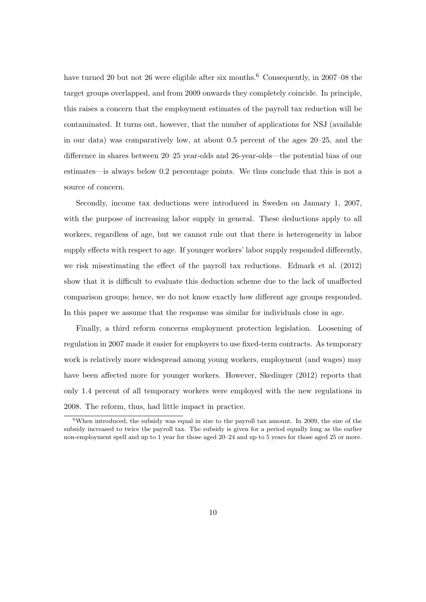have turned 20 but not 2[6](#page-9-0) were eligible after six months.<sup>6</sup> Consequently, in 2007–08 the target groups overlapped, and from 2009 onwards they completely coincide. In principle, this raises a concern that the employment estimates of the payroll tax reduction will be contaminated. It turns out, however, that the number of applications for NSJ (available in our data) was comparatively low, at about 0.5 percent of the ages 20–25, and the difference in shares between 20–25 year-olds and 26-year-olds—the potential bias of our estimates—is always below 0.2 percentage points. We thus conclude that this is not a source of concern.

Secondly, income tax deductions were introduced in Sweden on January 1, 2007, with the purpose of increasing labor supply in general. These deductions apply to all workers, regardless of age, but we cannot rule out that there is heterogeneity in labor supply effects with respect to age. If younger workers' labor supply responded differently, we risk misestimating the effect of the payroll tax reductions. [Edmark et al.](#page-44-5) [\(2012\)](#page-44-5) show that it is difficult to evaluate this deduction scheme due to the lack of unaffected comparison groups; hence, we do not know exactly how different age groups responded. In this paper we assume that the response was similar for individuals close in age.

Finally, a third reform concerns employment protection legislation. Loosening of regulation in 2007 made it easier for employers to use fixed-term contracts. As temporary work is relatively more widespread among young workers, employment (and wages) may have been affected more for younger workers. However, [Skedinger](#page-46-5) [\(2012\)](#page-46-5) reports that only 1.4 percent of all temporary workers were employed with the new regulations in 2008. The reform, thus, had little impact in practice.

<span id="page-9-0"></span><sup>&</sup>lt;sup>6</sup>When introduced, the subsidy was equal in size to the payroll tax amount. In 2009, the size of the subsidy increased to twice the payroll tax. The subsidy is given for a period equally long as the earlier non-employment spell and up to 1 year for those aged 20–24 and up to 5 years for those aged 25 or more.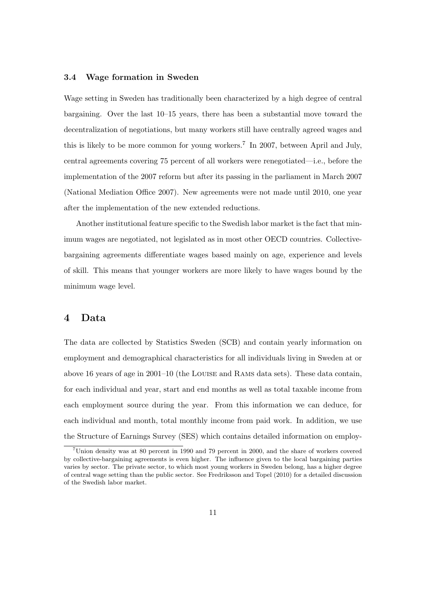## 3.4 Wage formation in Sweden

Wage setting in Sweden has traditionally been characterized by a high degree of central bargaining. Over the last 10–15 years, there has been a substantial move toward the decentralization of negotiations, but many workers still have centrally agreed wages and this is likely to be more common for young workers.<sup>[7](#page-10-1)</sup> In 2007, between April and July, central agreements covering 75 percent of all workers were renegotiated—i.e., before the implementation of the 2007 reform but after its passing in the parliament in March 2007 [\(National Mediation Office 2007\)](#page-46-6). New agreements were not made until 2010, one year after the implementation of the new extended reductions.

Another institutional feature specific to the Swedish labor market is the fact that minimum wages are negotiated, not legislated as in most other OECD countries. Collectivebargaining agreements differentiate wages based mainly on age, experience and levels of skill. This means that younger workers are more likely to have wages bound by the minimum wage level.

## <span id="page-10-0"></span>4 Data

The data are collected by Statistics Sweden (SCB) and contain yearly information on employment and demographical characteristics for all individuals living in Sweden at or above 16 years of age in 2001–10 (the Louise and Rams data sets). These data contain, for each individual and year, start and end months as well as total taxable income from each employment source during the year. From this information we can deduce, for each individual and month, total monthly income from paid work. In addition, we use the Structure of Earnings Survey (SES) which contains detailed information on employ-

<span id="page-10-1"></span><sup>7</sup>Union density was at 80 percent in 1990 and 79 percent in 2000, and the share of workers covered by collective-bargaining agreements is even higher. The influence given to the local bargaining parties varies by sector. The private sector, to which most young workers in Sweden belong, has a higher degree of central wage setting than the public sector. See [Fredriksson and Topel](#page-45-6) [\(2010\)](#page-45-6) for a detailed discussion of the Swedish labor market.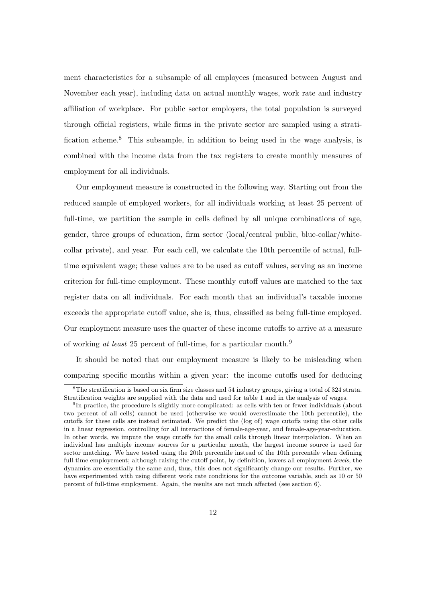ment characteristics for a subsample of all employees (measured between August and November each year), including data on actual monthly wages, work rate and industry affiliation of workplace. For public sector employers, the total population is surveyed through official registers, while firms in the private sector are sampled using a stratification scheme.[8](#page-11-0) This subsample, in addition to being used in the wage analysis, is combined with the income data from the tax registers to create monthly measures of employment for all individuals.

Our employment measure is constructed in the following way. Starting out from the reduced sample of employed workers, for all individuals working at least 25 percent of full-time, we partition the sample in cells defined by all unique combinations of age, gender, three groups of education, firm sector (local/central public, blue-collar/whitecollar private), and year. For each cell, we calculate the 10th percentile of actual, fulltime equivalent wage; these values are to be used as cutoff values, serving as an income criterion for full-time employment. These monthly cutoff values are matched to the tax register data on all individuals. For each month that an individual's taxable income exceeds the appropriate cutoff value, she is, thus, classified as being full-time employed. Our employment measure uses the quarter of these income cutoffs to arrive at a measure of working at least 25 percent of full-time, for a particular month.<sup>[9](#page-11-1)</sup>

It should be noted that our employment measure is likely to be misleading when comparing specific months within a given year: the income cutoffs used for deducing

<span id="page-11-0"></span> ${}^{8}$ The stratification is based on six firm size classes and 54 industry groups, giving a total of 324 strata. Stratification weights are supplied with the data and used for table [1](#page-14-0) and in the analysis of wages.

<span id="page-11-1"></span><sup>&</sup>lt;sup>9</sup>In practice, the procedure is slightly more complicated: as cells with ten or fewer individuals (about two percent of all cells) cannot be used (otherwise we would overestimate the 10th percentile), the cutoffs for these cells are instead estimated. We predict the (log of) wage cutoffs using the other cells in a linear regression, controlling for all interactions of female-age-year, and female-age-year-education. In other words, we impute the wage cutoffs for the small cells through linear interpolation. When an individual has multiple income sources for a particular month, the largest income source is used for sector matching. We have tested using the 20th percentile instead of the 10th percentile when defining full-time employement; although raising the cutoff point, by definition, lowers all employment *levels*, the dynamics are essentially the same and, thus, this does not significantly change our results. Further, we have experimented with using different work rate conditions for the outcome variable, such as 10 or 50 percent of full-time employment. Again, the results are not much affected (see section [6\)](#page-24-0).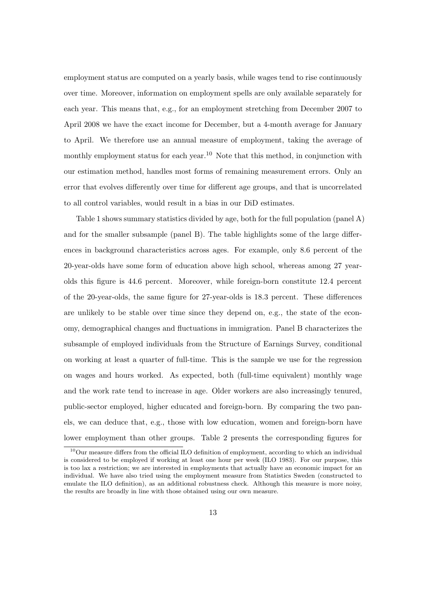employment status are computed on a yearly basis, while wages tend to rise continuously over time. Moreover, information on employment spells are only available separately for each year. This means that, e.g., for an employment stretching from December 2007 to April 2008 we have the exact income for December, but a 4-month average for January to April. We therefore use an annual measure of employment, taking the average of monthly employment status for each year.<sup>[10](#page-12-0)</sup> Note that this method, in conjunction with our estimation method, handles most forms of remaining measurement errors. Only an error that evolves differently over time for different age groups, and that is uncorrelated to all control variables, would result in a bias in our DiD estimates.

Table [1](#page-14-0) shows summary statistics divided by age, both for the full population (panel A) and for the smaller subsample (panel B). The table highlights some of the large differences in background characteristics across ages. For example, only 8.6 percent of the 20-year-olds have some form of education above high school, whereas among 27 yearolds this figure is 44.6 percent. Moreover, while foreign-born constitute 12.4 percent of the 20-year-olds, the same figure for 27-year-olds is 18.3 percent. These differences are unlikely to be stable over time since they depend on, e.g., the state of the economy, demographical changes and fluctuations in immigration. Panel B characterizes the subsample of employed individuals from the Structure of Earnings Survey, conditional on working at least a quarter of full-time. This is the sample we use for the regression on wages and hours worked. As expected, both (full-time equivalent) monthly wage and the work rate tend to increase in age. Older workers are also increasingly tenured, public-sector employed, higher educated and foreign-born. By comparing the two panels, we can deduce that, e.g., those with low education, women and foreign-born have lower employment than other groups. Table [2](#page-14-1) presents the corresponding figures for

<span id="page-12-0"></span> $10$ Our measure differs from the official ILO definition of employment, according to which an individual is considered to be employed if working at least one hour per week [\(ILO 1983\)](#page-45-7). For our purpose, this is too lax a restriction; we are interested in employments that actually have an economic impact for an individual. We have also tried using the employment measure from Statistics Sweden (constructed to emulate the ILO definition), as an additional robustness check. Although this measure is more noisy, the results are broadly in line with those obtained using our own measure.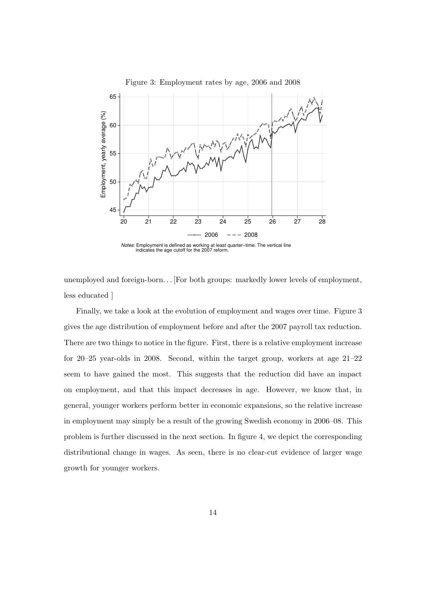<span id="page-13-0"></span>

unemployed and foreign-born. . . [For both groups: markedly lower levels of employment, less educated ]

Finally, we take a look at the evolution of employment and wages over time. Figure [3](#page-13-0) gives the age distribution of employment before and after the 2007 payroll tax reduction. There are two things to notice in the figure. First, there is a relative employment increase for 20–25 year-olds in 2008. Second, within the target group, workers at age 21–22 seem to have gained the most. This suggests that the reduction did have an impact on employment, and that this impact decreases in age. However, we know that, in general, younger workers perform better in economic expansions, so the relative increase in employment may simply be a result of the growing Swedish economy in 2006–08. This problem is further discussed in the next section. In figure [4,](#page-15-1) we depict the corresponding distributional change in wages. As seen, there is no clear-cut evidence of larger wage growth for younger workers.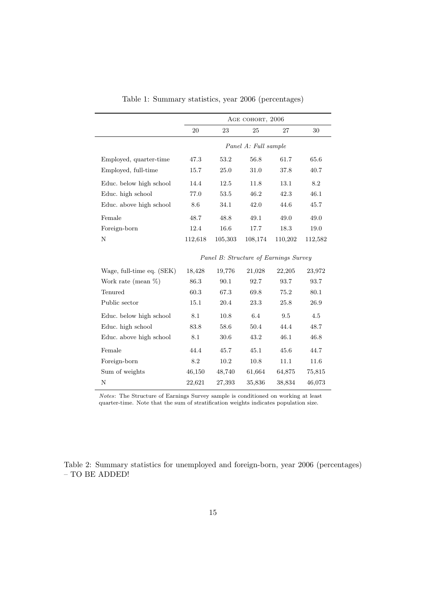|                           | AGE COHORT, 2006                      |         |                      |         |         |  |
|---------------------------|---------------------------------------|---------|----------------------|---------|---------|--|
|                           | 20                                    | 23      | 25                   | 27      | 30      |  |
|                           |                                       |         | Panel A: Full sample |         |         |  |
| Employed, quarter-time    | 47.3                                  | 53.2    | 56.8                 | 61.7    | 65.6    |  |
| Employed, full-time       | 15.7                                  | 25.0    | 31.0                 | 37.8    | 40.7    |  |
| Educ. below high school   | 14.4                                  | 12.5    | 11.8                 | 13.1    | 8.2     |  |
| Educ. high school         | 77.0                                  | 53.5    | 46.2                 | 42.3    | 46.1    |  |
| Educ. above high school   | 8.6                                   | 34.1    | 42.0                 | 44.6    | 45.7    |  |
| Female                    | 48.7                                  | 48.8    | 49.1                 | 49.0    | 49.0    |  |
| Foreign-born              | 12.4                                  | 16.6    | 17.7                 | 18.3    | 19.0    |  |
| N                         | 112,618                               | 105,303 | 108,174              | 110,202 | 112,582 |  |
|                           | Panel B: Structure of Earnings Survey |         |                      |         |         |  |
| Wage, full-time eq. (SEK) | 18,428                                | 19,776  | 21,028               | 22,205  | 23,972  |  |
| Work rate (mean $\%$ )    | 86.3                                  | 90.1    | 92.7                 | 93.7    | 93.7    |  |
| Tenured                   | 60.3                                  | 67.3    | 69.8                 | 75.2    | 80.1    |  |
| Public sector             | 15.1                                  | 20.4    | 23.3                 | 25.8    | 26.9    |  |
| Educ. below high school   | 8.1                                   | 10.8    | 6.4                  | 9.5     | 4.5     |  |
| Educ. high school         | 83.8                                  | 58.6    | 50.4                 | 44.4    | 48.7    |  |
| Educ. above high school   | 8.1                                   | 30.6    | 43.2                 | 46.1    | 46.8    |  |
| Female                    | 44.4                                  | 45.7    | 45.1                 | 45.6    | 44.7    |  |
| Foreign-born              | 8.2                                   | 10.2    | 10.8                 | 11.1    | 11.6    |  |
| Sum of weights            | 46,150                                | 48,740  | 61,664               | 64,875  | 75,815  |  |
| N                         | 22,621                                | 27,393  | 35,836               | 38,834  | 46,073  |  |

<span id="page-14-0"></span>Table 1: Summary statistics, year 2006 (percentages)

Notes: The Structure of Earnings Survey sample is conditioned on working at least quarter-time. Note that the sum of stratification weights indicates population size.

<span id="page-14-1"></span>Table 2: Summary statistics for unemployed and foreign-born, year 2006 (percentages) – TO BE ADDED!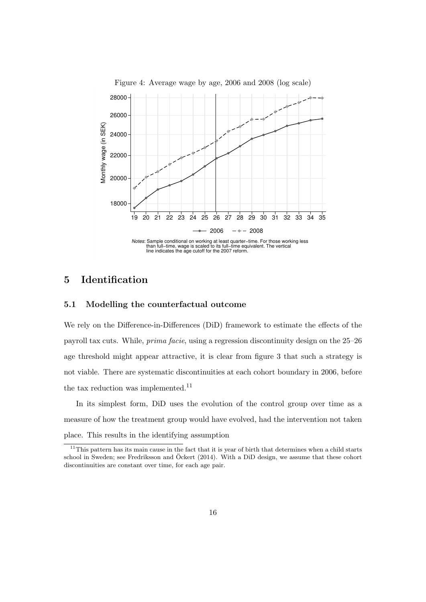<span id="page-15-1"></span>

# <span id="page-15-0"></span>5 Identification

#### 5.1 Modelling the counterfactual outcome

We rely on the Difference-in-Differences (DiD) framework to estimate the effects of the payroll tax cuts. While, prima facie, using a regression discontinuity design on the 25–26 age threshold might appear attractive, it is clear from figure [3](#page-13-0) that such a strategy is not viable. There are systematic discontinuities at each cohort boundary in 2006, before the tax reduction was implemented.<sup>[11](#page-15-2)</sup>

In its simplest form, DiD uses the evolution of the control group over time as a measure of how the treatment group would have evolved, had the intervention not taken place. This results in the identifying assumption

<span id="page-15-2"></span> $11$ This pattern has its main cause in the fact that it is year of birth that determines when a child starts school in Sweden; see [Fredriksson and](#page-44-6) Öckert [\(2014\)](#page-44-6). With a DiD design, we assume that these cohort discontinuities are constant over time, for each age pair.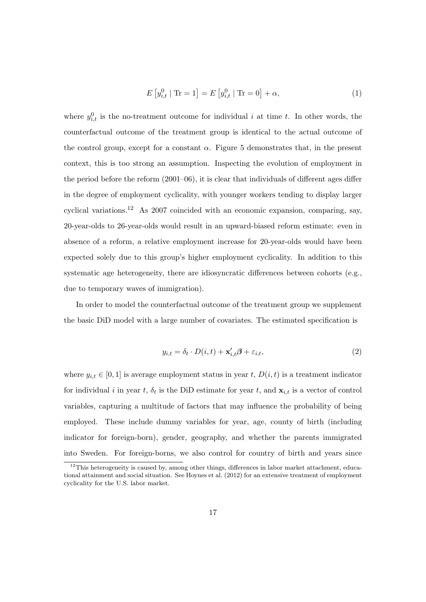$$
E[y_{i,t}^0 \mid \text{Tr} = 1] = E[y_{i,t}^0 \mid \text{Tr} = 0] + \alpha,
$$
\n(1)

where  $y_{i,t}^0$  is the no-treatment outcome for individual i at time t. In other words, the counterfactual outcome of the treatment group is identical to the actual outcome of the control group, except for a constant  $\alpha$ . Figure [5](#page-17-0) demonstrates that, in the present context, this is too strong an assumption. Inspecting the evolution of employment in the period before the reform  $(2001-06)$ , it is clear that individuals of different ages differ in the degree of employment cyclicality, with younger workers tending to display larger cyclical variations.<sup>[12](#page-16-0)</sup> As 2007 coincided with an economic expansion, comparing, say, 20-year-olds to 26-year-olds would result in an upward-biased reform estimate: even in absence of a reform, a relative employment increase for 20-year-olds would have been expected solely due to this group's higher employment cyclicality. In addition to this systematic age heterogeneity, there are idiosyncratic differences between cohorts (e.g., due to temporary waves of immigration).

In order to model the counterfactual outcome of the treatment group we supplement the basic DiD model with a large number of covariates. The estimated specification is

<span id="page-16-1"></span>
$$
y_{i,t} = \delta_t \cdot D(i,t) + \mathbf{x}'_{i,t} \boldsymbol{\beta} + \varepsilon_{i,t},
$$
\n(2)

where  $y_{i,t} \in [0,1]$  is average employment status in year t,  $D(i,t)$  is a treatment indicator for individual i in year t,  $\delta_t$  is the DiD estimate for year t, and  $\mathbf{x}_{i,t}$  is a vector of control variables, capturing a multitude of factors that may influence the probability of being employed. These include dummy variables for year, age, county of birth (including indicator for foreign-born), gender, geography, and whether the parents immigrated into Sweden. For foreign-borns, we also control for country of birth and years since

<span id="page-16-0"></span> $12$ This heterogeneity is caused by, among other things, differences in labor market attachment, educational attainment and social situation. See [Hoynes et al.](#page-45-8) [\(2012\)](#page-45-8) for an extensive treatment of employment cyclicality for the U.S. labor market.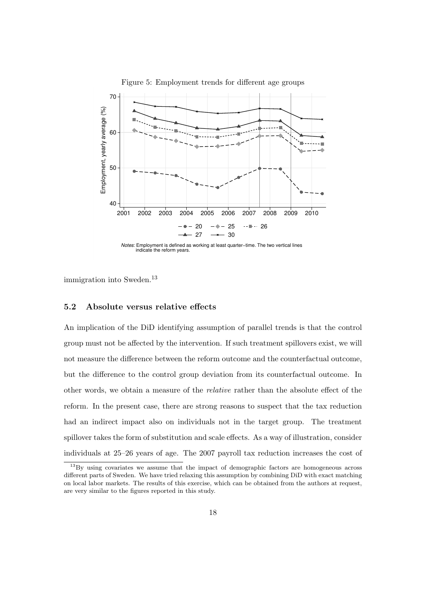

<span id="page-17-0"></span>Figure 5: Employment trends for different age groups



immigration into Sweden.<sup>[13](#page-17-1)</sup>

#### 5.2 Absolute versus relative effects

An implication of the DiD identifying assumption of parallel trends is that the control group must not be affected by the intervention. If such treatment spillovers exist, we will not measure the difference between the reform outcome and the counterfactual outcome, but the difference to the control group deviation from its counterfactual outcome. In other words, we obtain a measure of the relative rather than the absolute effect of the reform. In the present case, there are strong reasons to suspect that the tax reduction had an indirect impact also on individuals not in the target group. The treatment spillover takes the form of substitution and scale effects. As a way of illustration, consider individuals at 25–26 years of age. The 2007 payroll tax reduction increases the cost of

<span id="page-17-1"></span><sup>&</sup>lt;sup>13</sup>By using covariates we assume that the impact of demographic factors are homogeneous across different parts of Sweden. We have tried relaxing this assumption by combining DiD with exact matching on local labor markets. The results of this exercise, which can be obtained from the authors at request, are very similar to the figures reported in this study.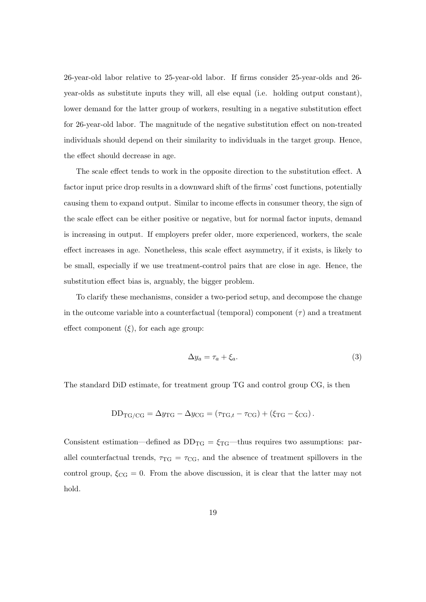26-year-old labor relative to 25-year-old labor. If firms consider 25-year-olds and 26 year-olds as substitute inputs they will, all else equal (i.e. holding output constant), lower demand for the latter group of workers, resulting in a negative substitution effect for 26-year-old labor. The magnitude of the negative substitution effect on non-treated individuals should depend on their similarity to individuals in the target group. Hence, the effect should decrease in age.

The scale effect tends to work in the opposite direction to the substitution effect. A factor input price drop results in a downward shift of the firms' cost functions, potentially causing them to expand output. Similar to income effects in consumer theory, the sign of the scale effect can be either positive or negative, but for normal factor inputs, demand is increasing in output. If employers prefer older, more experienced, workers, the scale effect increases in age. Nonetheless, this scale effect asymmetry, if it exists, is likely to be small, especially if we use treatment-control pairs that are close in age. Hence, the substitution effect bias is, arguably, the bigger problem.

To clarify these mechanisms, consider a two-period setup, and decompose the change in the outcome variable into a counterfactual (temporal) component  $(\tau)$  and a treatment effect component  $(\xi)$ , for each age group:

<span id="page-18-0"></span>
$$
\Delta y_a = \tau_a + \xi_a. \tag{3}
$$

The standard DiD estimate, for treatment group TG and control group CG, is then

$$
DD_{TG/CG} = \Delta y_{TG} - \Delta y_{CG} = (\tau_{TG,t} - \tau_{CG}) + (\xi_{TG} - \xi_{CG}).
$$

Consistent estimation—defined as  $DD_{TG} = \xi_{TG}$ —thus requires two assumptions: parallel counterfactual trends,  $\tau_{TG} = \tau_{CG}$ , and the absence of treatment spillovers in the control group,  $\xi_{CG} = 0$ . From the above discussion, it is clear that the latter may not hold.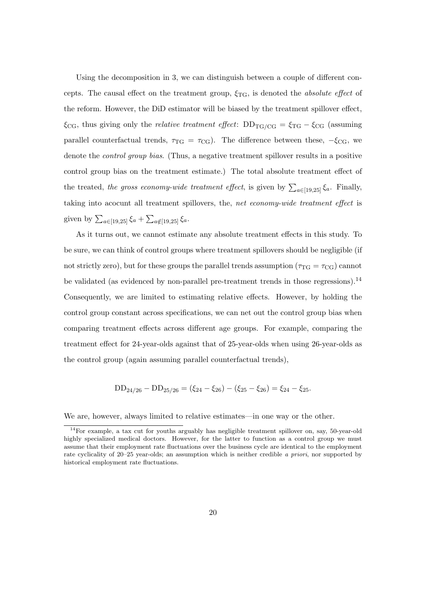Using the decomposition in [3,](#page-18-0) we can distinguish between a couple of different concepts. The causal effect on the treatment group,  $\xi_{\text{TG}}$ , is denoted the *absolute effect* of the reform. However, the DiD estimator will be biased by the treatment spillover effect,  $\xi_{CG}$ , thus giving only the *relative treatment effect*:  $DD_{TG/CG} = \xi_{TG} - \xi_{CG}$  (assuming parallel counterfactual trends,  $\tau_{TG} = \tau_{CG}$ ). The difference between these,  $-\xi_{CG}$ , we denote the control group bias. (Thus, a negative treatment spillover results in a positive control group bias on the treatment estimate.) The total absolute treatment effect of the treated, the gross economy-wide treatment effect, is given by  $\sum_{a \in [19,25]} \xi_a$ . Finally, taking into acocunt all treatment spillovers, the, net economy-wide treatment effect is given by  $\sum_{a \in [19,25]} \xi_a + \sum_{a \notin [19,25]} \xi_a$ .

As it turns out, we cannot estimate any absolute treatment effects in this study. To be sure, we can think of control groups where treatment spillovers should be negligible (if not strictly zero), but for these groups the parallel trends assumption ( $\tau_{TG} = \tau_{CG}$ ) cannot be validated (as evidenced by non-parallel pre-treatment trends in those regressions).<sup>[14](#page-19-0)</sup> Consequently, we are limited to estimating relative effects. However, by holding the control group constant across specifications, we can net out the control group bias when comparing treatment effects across different age groups. For example, comparing the treatment effect for 24-year-olds against that of 25-year-olds when using 26-year-olds as the control group (again assuming parallel counterfactual trends),

$$
DD_{24/26} - DD_{25/26} = (\xi_{24} - \xi_{26}) - (\xi_{25} - \xi_{26}) = \xi_{24} - \xi_{25}.
$$

We are, however, always limited to relative estimates—in one way or the other.

<span id="page-19-0"></span> $14$ For example, a tax cut for youths arguably has negligible treatment spillover on, say, 50-year-old highly specialized medical doctors. However, for the latter to function as a control group we must assume that their employment rate fluctuations over the business cycle are identical to the employment rate cyclicality of 20–25 year-olds; an assumption which is neither credible a priori, nor supported by historical employment rate fluctuations.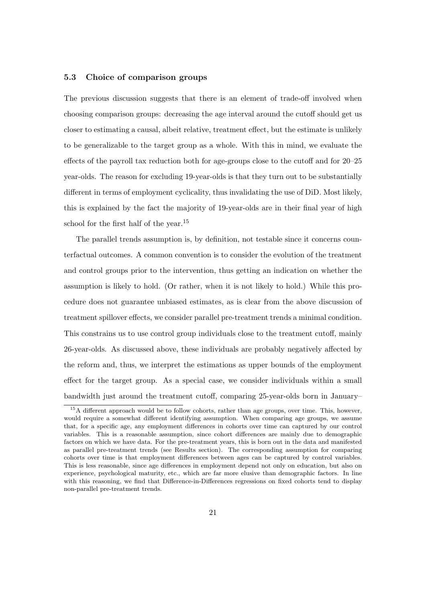## 5.3 Choice of comparison groups

The previous discussion suggests that there is an element of trade-off involved when choosing comparison groups: decreasing the age interval around the cutoff should get us closer to estimating a causal, albeit relative, treatment effect, but the estimate is unlikely to be generalizable to the target group as a whole. With this in mind, we evaluate the effects of the payroll tax reduction both for age-groups close to the cutoff and for 20–25 year-olds. The reason for excluding 19-year-olds is that they turn out to be substantially different in terms of employment cyclicality, thus invalidating the use of DiD. Most likely, this is explained by the fact the majority of 19-year-olds are in their final year of high school for the first half of the year.<sup>[15](#page-20-0)</sup>

The parallel trends assumption is, by definition, not testable since it concerns counterfactual outcomes. A common convention is to consider the evolution of the treatment and control groups prior to the intervention, thus getting an indication on whether the assumption is likely to hold. (Or rather, when it is not likely to hold.) While this procedure does not guarantee unbiased estimates, as is clear from the above discussion of treatment spillover effects, we consider parallel pre-treatment trends a minimal condition. This constrains us to use control group individuals close to the treatment cutoff, mainly 26-year-olds. As discussed above, these individuals are probably negatively affected by the reform and, thus, we interpret the estimations as upper bounds of the employment effect for the target group. As a special case, we consider individuals within a small bandwidth just around the treatment cutoff, comparing 25-year-olds born in January–

<span id="page-20-0"></span><sup>&</sup>lt;sup>15</sup>A different approach would be to follow cohorts, rather than age groups, over time. This, however, would require a somewhat different identifying assumption. When comparing age groups, we assume that, for a specific age, any employment differences in cohorts over time can captured by our control variables. This is a reasonable assumption, since cohort differences are mainly due to demographic factors on which we have data. For the pre-treatment years, this is born out in the data and manifested as parallel pre-treatment trends (see Results section). The corresponding assumption for comparing cohorts over time is that employment differences between ages can be captured by control variables. This is less reasonable, since age differences in employment depend not only on education, but also on experience, psychological maturity, etc., which are far more elusive than demographic factors. In line with this reasoning, we find that Difference-in-Differences regressions on fixed cohorts tend to display non-parallel pre-treatment trends.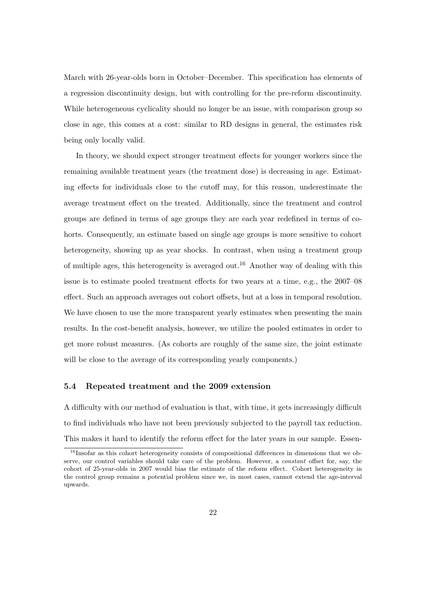March with 26-year-olds born in October–December. This specification has elements of a regression discontinuity design, but with controlling for the pre-reform discontinuity. While heterogeneous cyclicality should no longer be an issue, with comparison group so close in age, this comes at a cost: similar to RD designs in general, the estimates risk being only locally valid.

In theory, we should expect stronger treatment effects for younger workers since the remaining available treatment years (the treatment dose) is decreasing in age. Estimating effects for individuals close to the cutoff may, for this reason, underestimate the average treatment effect on the treated. Additionally, since the treatment and control groups are defined in terms of age groups they are each year redefined in terms of cohorts. Consequently, an estimate based on single age groups is more sensitive to cohort heterogeneity, showing up as year shocks. In contrast, when using a treatment group of multiple ages, this heterogeneity is averaged out.<sup>[16](#page-21-0)</sup> Another way of dealing with this issue is to estimate pooled treatment effects for two years at a time, e.g., the 2007–08 effect. Such an approach averages out cohort offsets, but at a loss in temporal resolution. We have chosen to use the more transparent yearly estimates when presenting the main results. In the cost-benefit analysis, however, we utilize the pooled estimates in order to get more robust measures. (As cohorts are roughly of the same size, the joint estimate will be close to the average of its corresponding yearly components.)

#### 5.4 Repeated treatment and the 2009 extension

A difficulty with our method of evaluation is that, with time, it gets increasingly difficult to find individuals who have not been previously subjected to the payroll tax reduction. This makes it hard to identify the reform effect for the later years in our sample. Essen-

<span id="page-21-0"></span> $16$ Insofar as this cohort heterogeneity consists of compositional differences in dimensions that we observe, our control variables should take care of the problem. However, a constant offset for, say, the cohort of 25-year-olds in 2007 would bias the estimate of the reform effect. Cohort heterogeneity in the control group remains a potential problem since we, in most cases, cannot extend the age-interval upwards.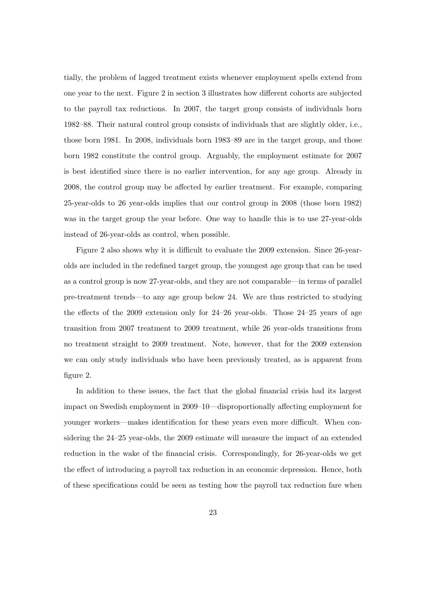tially, the problem of lagged treatment exists whenever employment spells extend from one year to the next. Figure [2](#page-8-0) in section [3](#page-5-0) illustrates how different cohorts are subjected to the payroll tax reductions. In 2007, the target group consists of individuals born 1982–88. Their natural control group consists of individuals that are slightly older, i.e., those born 1981. In 2008, individuals born 1983–89 are in the target group, and those born 1982 constitute the control group. Arguably, the employment estimate for 2007 is best identified since there is no earlier intervention, for any age group. Already in 2008, the control group may be affected by earlier treatment. For example, comparing 25-year-olds to 26 year-olds implies that our control group in 2008 (those born 1982) was in the target group the year before. One way to handle this is to use 27-year-olds instead of 26-year-olds as control, when possible.

Figure [2](#page-8-0) also shows why it is difficult to evaluate the 2009 extension. Since 26-yearolds are included in the redefined target group, the youngest age group that can be used as a control group is now 27-year-olds, and they are not comparable—in terms of parallel pre-treatment trends—to any age group below 24. We are thus restricted to studying the effects of the 2009 extension only for 24–26 year-olds. Those 24–25 years of age transition from 2007 treatment to 2009 treatment, while 26 year-olds transitions from no treatment straight to 2009 treatment. Note, however, that for the 2009 extension we can only study individuals who have been previously treated, as is apparent from figure [2.](#page-8-0)

In addition to these issues, the fact that the global financial crisis had its largest impact on Swedish employment in 2009–10—disproportionally affecting employment for younger workers—makes identification for these years even more difficult. When considering the 24–25 year-olds, the 2009 estimate will measure the impact of an extended reduction in the wake of the financial crisis. Correspondingly, for 26-year-olds we get the effect of introducing a payroll tax reduction in an economic depression. Hence, both of these specifications could be seen as testing how the payroll tax reduction fare when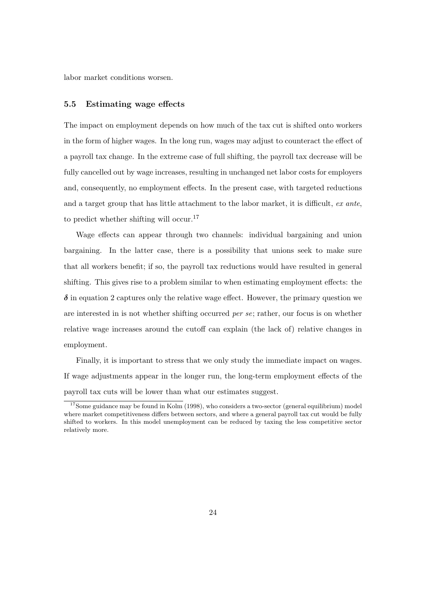labor market conditions worsen.

#### 5.5 Estimating wage effects

The impact on employment depends on how much of the tax cut is shifted onto workers in the form of higher wages. In the long run, wages may adjust to counteract the effect of a payroll tax change. In the extreme case of full shifting, the payroll tax decrease will be fully cancelled out by wage increases, resulting in unchanged net labor costs for employers and, consequently, no employment effects. In the present case, with targeted reductions and a target group that has little attachment to the labor market, it is difficult, ex ante, to predict whether shifting will occur.[17](#page-23-0)

Wage effects can appear through two channels: individual bargaining and union bargaining. In the latter case, there is a possibility that unions seek to make sure that all workers benefit; if so, the payroll tax reductions would have resulted in general shifting. This gives rise to a problem similar to when estimating employment effects: the  $\delta$  in equation [2](#page-16-1) captures only the relative wage effect. However, the primary question we are interested in is not whether shifting occurred per se; rather, our focus is on whether relative wage increases around the cutoff can explain (the lack of) relative changes in employment.

Finally, it is important to stress that we only study the immediate impact on wages. If wage adjustments appear in the longer run, the long-term employment effects of the payroll tax cuts will be lower than what our estimates suggest.

<span id="page-23-0"></span><sup>&</sup>lt;sup>17</sup>Some guidance may be found in [Kolm](#page-45-9) [\(1998\)](#page-45-9), who considers a two-sector (general equilibrium) model where market competitiveness differs between sectors, and where a general payroll tax cut would be fully shifted to workers. In this model unemployment can be reduced by taxing the less competitive sector relatively more.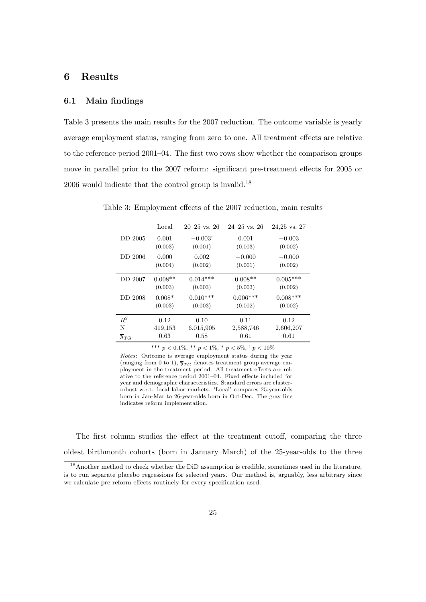# <span id="page-24-0"></span>6 Results

## 6.1 Main findings

Table [3](#page-24-1) presents the main results for the 2007 reduction. The outcome variable is yearly average employment status, ranging from zero to one. All treatment effects are relative to the reference period 2001–04. The first two rows show whether the comparison groups move in parallel prior to the 2007 reform: significant pre-treatment effects for 2005 or 2006 would indicate that the control group is invalid.<sup>[18](#page-24-2)</sup>

<span id="page-24-1"></span>

|                 | Local     | $20-25$ vs. $26$ | $24 - 25$ vs. 26 | 24,25 vs. 27 |
|-----------------|-----------|------------------|------------------|--------------|
| DD 2005         | 0.001     | $-0.003'$        | 0.001            | $-0.003$     |
|                 | (0.003)   | (0.001)          | (0.003)          | (0.002)      |
| DD 2006         | 0.000     | 0.002            | $-0.000$         | $-0.000$     |
|                 | (0.004)   | (0.002)          | (0.001)          | (0.002)      |
| DD 2007         | $0.008**$ | $0.014***$       | $0.008**$        | $0.005***$   |
|                 | (0.003)   | (0.003)          | (0.003)          | (0.002)      |
| DD 2008         | $0.008*$  | $0.010***$       | $0.006***$       | $0.008***$   |
|                 | (0.003)   | (0.003)          | (0.002)          | (0.002)      |
| $R^2$           | 0.12      | 0.10             | 0.11             | 0.12         |
| N               | 419,153   | 6,015,905        | 2,588,746        | 2,606,207    |
| $y_{\text{TG}}$ | 0.63      | 0.58             | 0.61             | 0.61         |

Table 3: Employment effects of the 2007 reduction, main results

\*\*\*  $p < 0.1\%$ , \*\*  $p < 1\%$ , \*  $p < 5\%$ , '  $p < 10\%$ 

Notes: Outcome is average employment status during the year (ranging from 0 to 1),  $\overline{y}_{TG}$  denotes treatment group average employment in the treatment period. All treatment effects are relative to the reference period 2001–04. Fixed effects included for year and demographic characteristics. Standard errors are clusterrobust w.r.t. local labor markets. 'Local' compares 25-year-olds born in Jan-Mar to 26-year-olds born in Oct-Dec. The gray line indicates reform implementation.

The first column studies the effect at the treatment cutoff, comparing the three oldest birthmonth cohorts (born in January–March) of the 25-year-olds to the three

<span id="page-24-2"></span><sup>&</sup>lt;sup>18</sup> Another method to check whether the DiD assumption is credible, sometimes used in the literature, is to run separate placebo regressions for selected years. Our method is, arguably, less arbitrary since we calculate pre-reform effects routinely for every specification used.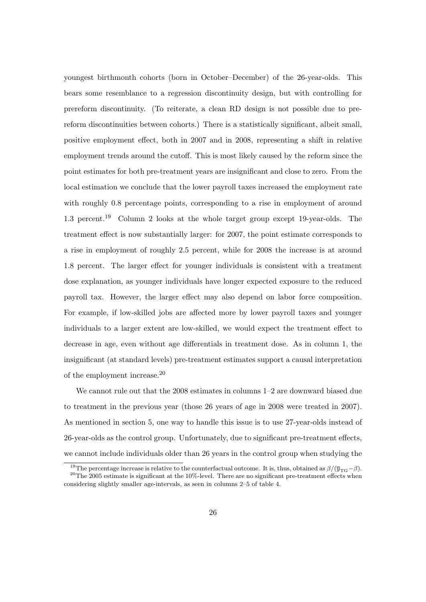youngest birthmonth cohorts (born in October–December) of the 26-year-olds. This bears some resemblance to a regression discontinuity design, but with controlling for prereform discontinuity. (To reiterate, a clean RD design is not possible due to prereform discontinuities between cohorts.) There is a statistically significant, albeit small, positive employment effect, both in 2007 and in 2008, representing a shift in relative employment trends around the cutoff. This is most likely caused by the reform since the point estimates for both pre-treatment years are insignificant and close to zero. From the local estimation we conclude that the lower payroll taxes increased the employment rate with roughly 0.8 percentage points, corresponding to a rise in employment of around 1.3 percent.[19](#page-25-0) Column 2 looks at the whole target group except 19-year-olds. The treatment effect is now substantially larger: for 2007, the point estimate corresponds to a rise in employment of roughly 2.5 percent, while for 2008 the increase is at around 1.8 percent. The larger effect for younger individuals is consistent with a treatment dose explanation, as younger individuals have longer expected exposure to the reduced payroll tax. However, the larger effect may also depend on labor force composition. For example, if low-skilled jobs are affected more by lower payroll taxes and younger individuals to a larger extent are low-skilled, we would expect the treatment effect to decrease in age, even without age differentials in treatment dose. As in column 1, the insignificant (at standard levels) pre-treatment estimates support a causal interpretation of the employment increase.[20](#page-25-1)

We cannot rule out that the 2008 estimates in columns  $1-2$  are downward biased due to treatment in the previous year (those 26 years of age in 2008 were treated in 2007). As mentioned in section [5,](#page-15-0) one way to handle this issue is to use 27-year-olds instead of 26-year-olds as the control group. Unfortunately, due to significant pre-treatment effects, we cannot include individuals older than 26 years in the control group when studying the

<span id="page-25-1"></span><span id="page-25-0"></span><sup>&</sup>lt;sup>19</sup>The percentage increase is relative to the counterfactual outcome. It is, thus, obtained as  $\beta/(\bar{y}_{TG}-\beta)$ .  $20$ The 2005 estimate is significant at the 10%-level. There are no significant pre-treatment effects when considering slightly smaller age-intervals, as seen in columns 2–5 of table [4.](#page-27-0)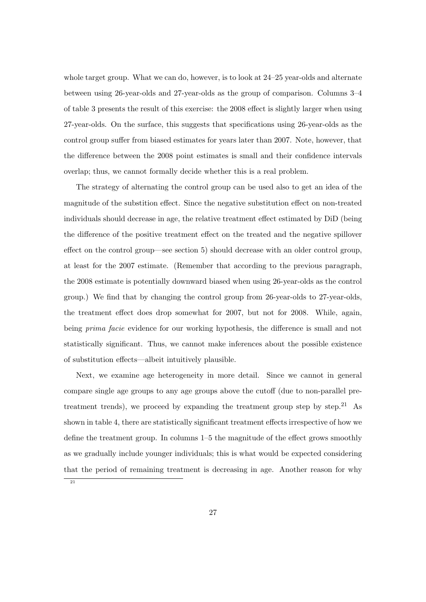whole target group. What we can do, however, is to look at 24–25 year-olds and alternate between using 26-year-olds and 27-year-olds as the group of comparison. Columns 3–4 of table [3](#page-24-1) presents the result of this exercise: the 2008 effect is slightly larger when using 27-year-olds. On the surface, this suggests that specifications using 26-year-olds as the control group suffer from biased estimates for years later than 2007. Note, however, that the difference between the 2008 point estimates is small and their confidence intervals overlap; thus, we cannot formally decide whether this is a real problem.

The strategy of alternating the control group can be used also to get an idea of the magnitude of the substition effect. Since the negative substitution effect on non-treated individuals should decrease in age, the relative treatment effect estimated by DiD (being the difference of the positive treatment effect on the treated and the negative spillover effect on the control group—see section [5\)](#page-15-0) should decrease with an older control group, at least for the 2007 estimate. (Remember that according to the previous paragraph, the 2008 estimate is potentially downward biased when using 26-year-olds as the control group.) We find that by changing the control group from 26-year-olds to 27-year-olds, the treatment effect does drop somewhat for 2007, but not for 2008. While, again, being *prima facie* evidence for our working hypothesis, the difference is small and not statistically significant. Thus, we cannot make inferences about the possible existence of substitution effects—albeit intuitively plausible.

Next, we examine age heterogeneity in more detail. Since we cannot in general compare single age groups to any age groups above the cutoff (due to non-parallel pre-treatment trends), we proceed by expanding the treatment group step by step.<sup>[21](#page-26-0)</sup> As shown in table [4,](#page-27-0) there are statistically significant treatment effects irrespective of how we define the treatment group. In columns 1–5 the magnitude of the effect grows smoothly as we gradually include younger individuals; this is what would be expected considering that the period of remaining treatment is decreasing in age. Another reason for why

<span id="page-26-0"></span>21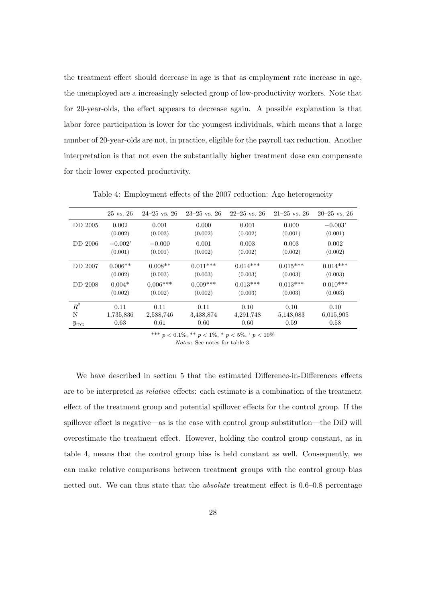the treatment effect should decrease in age is that as employment rate increase in age, the unemployed are a increasingly selected group of low-productivity workers. Note that for 20-year-olds, the effect appears to decrease again. A possible explanation is that labor force participation is lower for the youngest individuals, which means that a large number of 20-year-olds are not, in practice, eligible for the payroll tax reduction. Another interpretation is that not even the substantially higher treatment dose can compensate for their lower expected productivity.

|                            | $25 \text{ vs. } 26$ | $24 - 25$ vs. 26 | $23 - 25$ vs. 26 | $22-25$ vs. 26 | $21-25$ vs. 26 | $20-25$ vs. $26$ |
|----------------------------|----------------------|------------------|------------------|----------------|----------------|------------------|
| DD 2005                    | 0.002                | 0.001            | 0.000            | 0.001          | 0.000          | $-0.003'$        |
|                            | (0.002)              | (0.003)          | (0.002)          | (0.002)        | (0.001)        | (0.001)          |
| DD 2006                    | $-0.002'$            | $-0.000$         | 0.001            | 0.003          | 0.003          | 0.002            |
|                            | (0.001)              | (0.001)          | (0.002)          | (0.002)        | (0.002)        | (0.002)          |
| DD 2007                    | $0.006**$            | $0.008**$        | $0.011***$       | $0.014***$     | $0.015***$     | $0.014***$       |
|                            | (0.002)              | (0.003)          | (0.003)          | (0.003)        | (0.003)        | (0.003)          |
| DD 2008                    | $0.004*$             | $0.006***$       | $0.009***$       | $0.013***$     | $0.013***$     | $0.010***$       |
|                            | (0.002)              | (0.002)          | (0.002)          | (0.003)        | (0.003)        | (0.003)          |
| $R^2$                      | 0.11                 | 0.11             | 0.11             | 0.10           | 0.10           | 0.10             |
| N                          | 1,735,836            | 2,588,746        | 3,438,874        | 4,291,748      | 5,148,083      | 6,015,905        |
| $\overline{y}_{\text{TG}}$ | 0.63                 | 0.61             | 0.60             | 0.60           | 0.59           | 0.58             |

<span id="page-27-0"></span>Table 4: Employment effects of the 2007 reduction: Age heterogeneity

\*\*\*  $p < 0.1\%$ , \*\*  $p < 1\%$ , \*  $p < 5\%$ , '  $p < 10\%$ 

Notes: See notes for table [3.](#page-24-1)

We have described in section [5](#page-15-0) that the estimated Difference-in-Differences effects are to be interpreted as relative effects: each estimate is a combination of the treatment effect of the treatment group and potential spillover effects for the control group. If the spillover effect is negative—as is the case with control group substitution—the DiD will overestimate the treatment effect. However, holding the control group constant, as in table [4,](#page-27-0) means that the control group bias is held constant as well. Consequently, we can make relative comparisons between treatment groups with the control group bias netted out. We can thus state that the absolute treatment effect is 0.6–0.8 percentage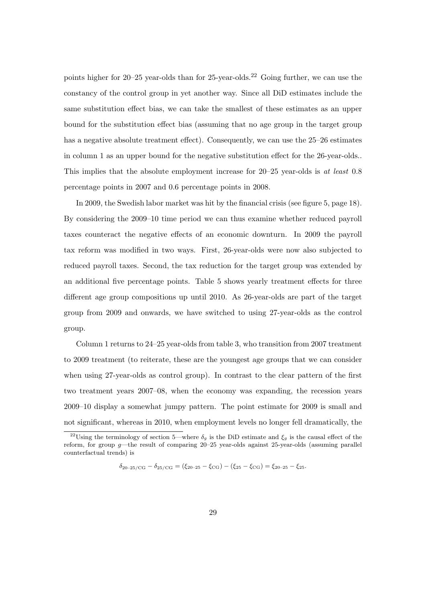points higher for  $20-25$  year-olds than for  $25$ -year-olds.<sup>[22](#page-28-0)</sup> Going further, we can use the constancy of the control group in yet another way. Since all DiD estimates include the same substitution effect bias, we can take the smallest of these estimates as an upper bound for the substitution effect bias (assuming that no age group in the target group has a negative absolute treatment effect). Consequently, we can use the 25–26 estimates in column 1 as an upper bound for the negative substitution effect for the 26-year-olds.. This implies that the absolute employment increase for 20–25 year-olds is at least 0.8 percentage points in 2007 and 0.6 percentage points in 2008.

In 2009, the Swedish labor market was hit by the financial crisis (see figure [5,](#page-17-0) page [18\)](#page-17-0). By considering the 2009–10 time period we can thus examine whether reduced payroll taxes counteract the negative effects of an economic downturn. In 2009 the payroll tax reform was modified in two ways. First, 26-year-olds were now also subjected to reduced payroll taxes. Second, the tax reduction for the target group was extended by an additional five percentage points. Table [5](#page-29-0) shows yearly treatment effects for three different age group compositions up until 2010. As 26-year-olds are part of the target group from 2009 and onwards, we have switched to using 27-year-olds as the control group.

Column 1 returns to 24–25 year-olds from table [3,](#page-24-1) who transition from 2007 treatment to 2009 treatment (to reiterate, these are the youngest age groups that we can consider when using 27-year-olds as control group). In contrast to the clear pattern of the first two treatment years 2007–08, when the economy was expanding, the recession years 2009–10 display a somewhat jumpy pattern. The point estimate for 2009 is small and not significant, whereas in 2010, when employment levels no longer fell dramatically, the

$$
\delta_{20-25/\text{CG}} - \delta_{25/\text{CG}} = (\xi_{20-25} - \xi_{\text{CG}}) - (\xi_{25} - \xi_{\text{CG}}) = \xi_{20-25} - \xi_{25}.
$$

<span id="page-28-0"></span><sup>&</sup>lt;sup>22</sup>Using the terminology of section [5—](#page-15-0)where  $\delta_q$  is the DiD estimate and  $\xi_g$  is the causal effect of the reform, for group g—the result of comparing 20–25 year-olds against 25-year-olds (assuming parallel counterfactual trends) is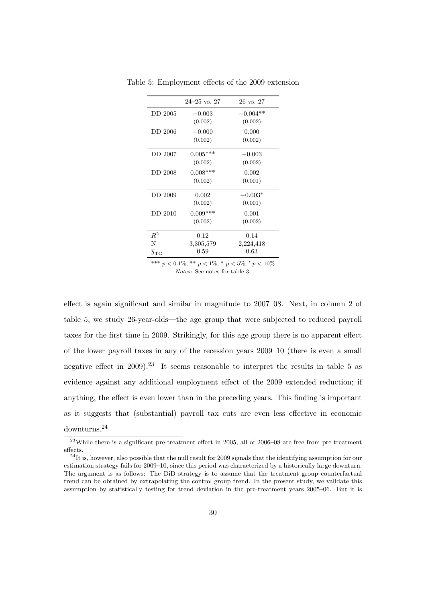<span id="page-29-0"></span>

|                            | $24 - 25$ vs. 27 | 26 vs. 27  |
|----------------------------|------------------|------------|
| DD 2005                    | $-0.003$         | $-0.004**$ |
|                            | (0.002)          | (0.002)    |
| DD 2006                    | $-0.000$         | 0.000      |
|                            | (0.002)          | (0.002)    |
| DD 2007                    | $0.005***$       | $-0.003$   |
|                            | (0.002)          | (0.002)    |
| DD 2008                    | $0.008***$       | 0.002      |
|                            | (0.002)          | (0.001)    |
| DD 2009                    | 0.002            | $-0.003*$  |
|                            | (0.002)          | (0.001)    |
| DD 2010                    | $0.009***$       | 0.001      |
|                            | (0.002)          | (0.002)    |
| $\,R^2$                    | 0.12             | 0.14       |
| N                          | 3,305,579        | 2,224,418  |
| $\overline{y}_{\text{TG}}$ | 0.59             | 0.63       |
|                            |                  |            |

Table 5: Employment effects of the 2009 extension

\*\*\*  $p < 0.1\%$ , \*\*  $p < 1\%$ , \*  $p < 5\%$ , '  $p < 10\%$ Notes: See notes for table [3.](#page-24-1)

effect is again significant and similar in magnitude to 2007–08. Next, in column 2 of table [5,](#page-29-0) we study 26-year-olds—the age group that were subjected to reduced payroll taxes for the first time in 2009. Strikingly, for this age group there is no apparent effect of the lower payroll taxes in any of the recession years 2009–10 (there is even a small negative effect in 2009).<sup>[23](#page-29-1)</sup> It seems reasonable to interpret the results in table [5](#page-29-0) as evidence against any additional employment effect of the 2009 extended reduction; if anything, the effect is even lower than in the preceding years. This finding is important as it suggests that (substantial) payroll tax cuts are even less effective in economic downturns.[24](#page-29-2)

<span id="page-29-1"></span><sup>&</sup>lt;sup>23</sup>While there is a significant pre-treatment effect in 2005, all of 2006–08 are free from pre-treatment effects.

<span id="page-29-2"></span> $^{24}$ It is, however, also possible that the null result for 2009 signals that the identifying assumption for our estimation strategy fails for 2009–10, since this period was characterized by a historically large downturn. The argument is as follows: The DiD strategy is to assume that the treatment group counterfactual trend can be obtained by extrapolating the control group trend. In the present study, we validate this assumption by statistically testing for trend deviation in the pre-treatment years 2005–06. But it is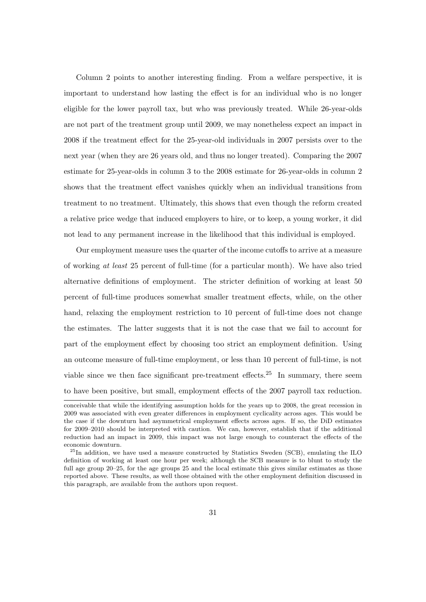Column 2 points to another interesting finding. From a welfare perspective, it is important to understand how lasting the effect is for an individual who is no longer eligible for the lower payroll tax, but who was previously treated. While 26-year-olds are not part of the treatment group until 2009, we may nonetheless expect an impact in 2008 if the treatment effect for the 25-year-old individuals in 2007 persists over to the next year (when they are 26 years old, and thus no longer treated). Comparing the 2007 estimate for 25-year-olds in column 3 to the 2008 estimate for 26-year-olds in column 2 shows that the treatment effect vanishes quickly when an individual transitions from treatment to no treatment. Ultimately, this shows that even though the reform created a relative price wedge that induced employers to hire, or to keep, a young worker, it did not lead to any permanent increase in the likelihood that this individual is employed.

Our employment measure uses the quarter of the income cutoffs to arrive at a measure of working at least 25 percent of full-time (for a particular month). We have also tried alternative definitions of employment. The stricter definition of working at least 50 percent of full-time produces somewhat smaller treatment effects, while, on the other hand, relaxing the employment restriction to 10 percent of full-time does not change the estimates. The latter suggests that it is not the case that we fail to account for part of the employment effect by choosing too strict an employment definition. Using an outcome measure of full-time employment, or less than 10 percent of full-time, is not viable since we then face significant pre-treatment effects.<sup>[25](#page-30-0)</sup> In summary, there seem to have been positive, but small, employment effects of the 2007 payroll tax reduction.

conceivable that while the identifying assumption holds for the years up to 2008, the great recession in 2009 was associated with even greater differences in employment cyclicality across ages. This would be the case if the downturn had asymmetrical employment effects across ages. If so, the DiD estimates for 2009–2010 should be interpreted with caution. We can, however, establish that if the additional reduction had an impact in 2009, this impact was not large enough to counteract the effects of the economic downturn.

<span id="page-30-0"></span><sup>&</sup>lt;sup>25</sup>In addition, we have used a measure constructed by Statistics Sweden (SCB), emulating the ILO definition of working at least one hour per week; although the SCB measure is to blunt to study the full age group 20–25, for the age groups 25 and the local estimate this gives similar estimates as those reported above. These results, as well those obtained with the other employment definition discussed in this paragraph, are available from the authors upon request.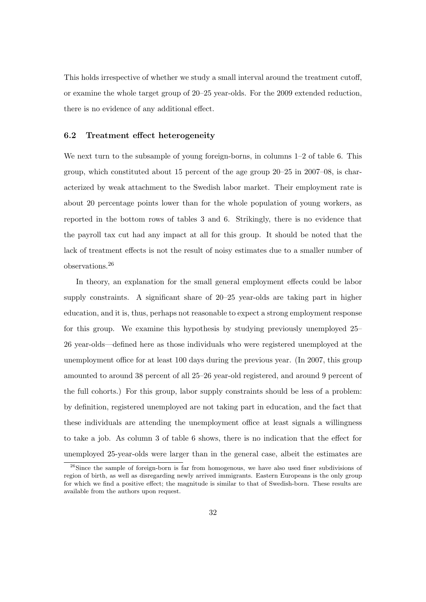This holds irrespective of whether we study a small interval around the treatment cutoff, or examine the whole target group of 20–25 year-olds. For the 2009 extended reduction, there is no evidence of any additional effect.

#### 6.2 Treatment effect heterogeneity

We next turn to the subsample of young foreign-borns, in columns 1–2 of table [6.](#page-32-0) This group, which constituted about 15 percent of the age group 20–25 in 2007–08, is characterized by weak attachment to the Swedish labor market. Their employment rate is about 20 percentage points lower than for the whole population of young workers, as reported in the bottom rows of tables [3](#page-24-1) and [6.](#page-32-0) Strikingly, there is no evidence that the payroll tax cut had any impact at all for this group. It should be noted that the lack of treatment effects is not the result of noisy estimates due to a smaller number of observations.[26](#page-31-0)

In theory, an explanation for the small general employment effects could be labor supply constraints. A significant share of 20–25 year-olds are taking part in higher education, and it is, thus, perhaps not reasonable to expect a strong employment response for this group. We examine this hypothesis by studying previously unemployed 25– 26 year-olds—defined here as those individuals who were registered unemployed at the unemployment office for at least 100 days during the previous year. (In 2007, this group amounted to around 38 percent of all 25–26 year-old registered, and around 9 percent of the full cohorts.) For this group, labor supply constraints should be less of a problem: by definition, registered unemployed are not taking part in education, and the fact that these individuals are attending the unemployment office at least signals a willingness to take a job. As column 3 of table [6](#page-32-0) shows, there is no indication that the effect for unemployed 25-year-olds were larger than in the general case, albeit the estimates are

<span id="page-31-0"></span><sup>&</sup>lt;sup>26</sup>Since the sample of foreign-born is far from homogenous, we have also used finer subdivisions of region of birth, as well as disregarding newly arrived immigrants. Eastern Europeans is the only group for which we find a positive effect; the magnitude is similar to that of Swedish-born. These results are available from the authors upon request.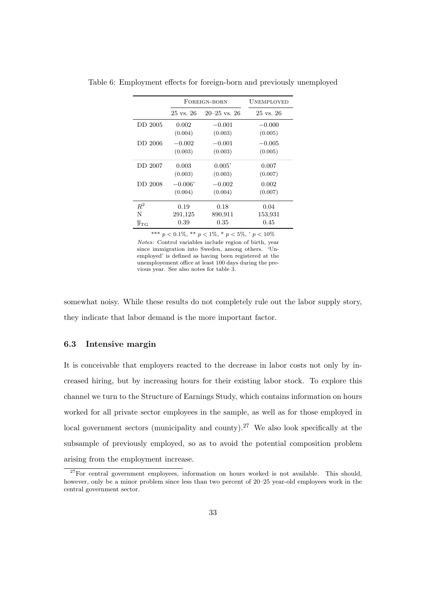<span id="page-32-0"></span>

|                 |                      | FOREIGN-BORN     | <b>UNEMPLOYED</b>    |  |
|-----------------|----------------------|------------------|----------------------|--|
|                 | $25 \text{ vs. } 26$ | $20 - 25$ vs. 26 | $25 \text{ vs. } 26$ |  |
| DD 2005         | 0.002                | $-0.001$         | $-0.000$             |  |
|                 | (0.004)              | (0.003)          | (0.005)              |  |
| DD 2006         | $-0.002$             | $-0.001$         | $-0.005$             |  |
|                 | (0.003)              | (0.003)          | (0.005)              |  |
| DD 2007         | 0.003                | 0.005'           | 0.007                |  |
|                 | (0.003)              | (0.003)          | (0.007)              |  |
| <b>DD 2008</b>  | $-0.006'$            | $-0.002$         | 0.002                |  |
|                 | (0.004)              | (0.004)          | (0.007)              |  |
| $R^2$           | 0.19                 | 0.18             | 0.04                 |  |
| N               | 291,125              | 890,911          | 153,931              |  |
| $y_{\text{TG}}$ | 0.39                 | 0.35             | 0.45                 |  |

Table 6: Employment effects for foreign-born and previously unemployed

\*\*\*  $p < 0.1\%$ , \*\*  $p < 1\%$ , \*  $p < 5\%$ , '  $p < 10\%$ Notes: Control variables include region of birth, year since immigration into Sweden, among others. 'Unemployed' is defined as having been registered at the unemployement office at least 100 days during the previous year. See also notes for table [3.](#page-24-1)

somewhat noisy. While these results do not completely rule out the labor supply story, they indicate that labor demand is the more important factor.

## 6.3 Intensive margin

It is conceivable that employers reacted to the decrease in labor costs not only by increased hiring, but by increasing hours for their existing labor stock. To explore this channel we turn to the Structure of Earnings Study, which contains information on hours worked for all private sector employees in the sample, as well as for those employed in local government sectors (municipality and county).<sup>[27](#page-32-1)</sup> We also look specifically at the subsample of previously employed, so as to avoid the potential composition problem arising from the employment increase.

<span id="page-32-1"></span> $27$ For central government employees, information on hours worked is not available. This should, however, only be a minor problem since less than two percent of 20–25 year-old employees work in the central government sector.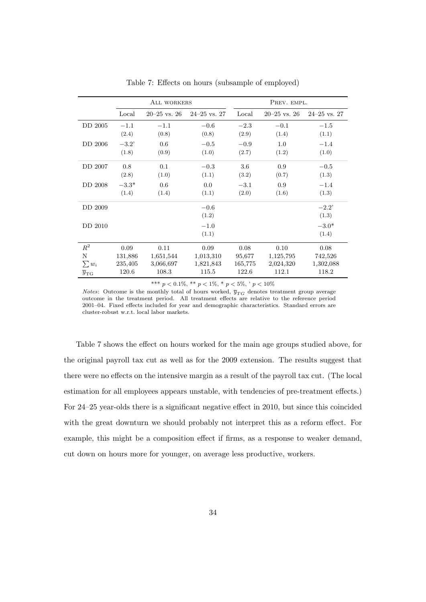|                            | ALL WORKERS |                |                  | PREV. EMPL. |                  |                  |
|----------------------------|-------------|----------------|------------------|-------------|------------------|------------------|
|                            | Local       | $20-25$ vs. 26 | $24 - 25$ vs. 27 | Local       | $20 - 25$ vs. 26 | $24 - 25$ vs. 27 |
| DD 2005                    | $-1.1$      | $-1.1$         | $-0.6$           | $-2.3$      | $-0.1$           | $-1.5$           |
|                            | (2.4)       | (0.8)          | (0.8)            | (2.9)       | (1.4)            | (1.1)            |
| DD 2006                    | $-3.2'$     | 0.6            | $-0.5$           | $-0.9$      | 1.0              | $-1.4$           |
|                            | (1.8)       | (0.9)          | (1.0)            | (2.7)       | (1.2)            | (1.0)            |
| DD 2007                    | 0.8         | 0.1            | $-0.3$           | 3.6         | 0.9              | $-0.5$           |
|                            | (2.8)       | (1.0)          | (1.1)            | (3.2)       | (0.7)            | (1.3)            |
| DD 2008                    | $-3.3*$     | 0.6            | 0.0              | $-3.1$      | 0.9              | $-1.4$           |
|                            | (1.4)       | (1.4)          | (1.1)            | (2.0)       | (1.6)            | (1.3)            |
| DD 2009                    |             |                | $-0.6$           |             |                  | $-2.2$           |
|                            |             |                | (1.2)            |             |                  | (1.3)            |
| DD 2010                    |             |                | $-1.0$           |             |                  | $-3.0*$          |
|                            |             |                | (1.1)            |             |                  | (1.4)            |
| $R^2$                      | 0.09        | 0.11           | 0.09             | 0.08        | 0.10             | 0.08             |
| N                          | 131,886     | 1,651,544      | 1,013,310        | 95,677      | 1,125,795        | 742,526          |
| $\sum w_i$                 | 235,405     | 3,066,697      | 1,821,843        | 165,775     | 2,024,320        | 1,302,088        |
| $\overline{y}_{\text{TG}}$ | 120.6       | 108.3          | 115.5            | 122.6       | 112.1            | 118.2            |

<span id="page-33-0"></span>Table 7: Effects on hours (subsample of employed)

\*\*\* $p < 0.1\%,$ \*\* $p < 1\%,$ \* $p < 5\%,$ ' $p < 10\%$ 

*Notes*: Outcome is the monthly total of hours worked,  $\bar{y}_{TG}$  denotes treatment group average outcome in the treatment period. All treatment effects are relative to the reference period 2001–04. Fixed effects included for year and demographic characteristics. Standard errors are cluster-robust w.r.t. local labor markets.

Table [7](#page-33-0) shows the effect on hours worked for the main age groups studied above, for the original payroll tax cut as well as for the 2009 extension. The results suggest that there were no effects on the intensive margin as a result of the payroll tax cut. (The local estimation for all employees appears unstable, with tendencies of pre-treatment effects.) For 24–25 year-olds there is a significant negative effect in 2010, but since this coincided with the great downturn we should probably not interpret this as a reform effect. For example, this might be a composition effect if firms, as a response to weaker demand, cut down on hours more for younger, on average less productive, workers.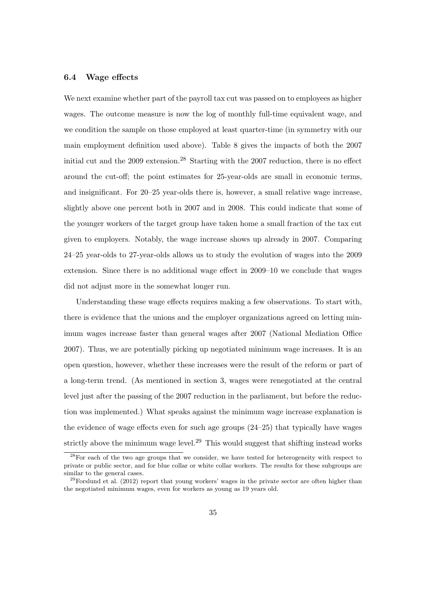## 6.4 Wage effects

We next examine whether part of the payroll tax cut was passed on to employees as higher wages. The outcome measure is now the log of monthly full-time equivalent wage, and we condition the sample on those employed at least quarter-time (in symmetry with our main employment definition used above). Table [8](#page-35-1) gives the impacts of both the 2007 initial cut and the  $2009$  extension.<sup>[28](#page-34-0)</sup> Starting with the  $2007$  reduction, there is no effect around the cut-off; the point estimates for 25-year-olds are small in economic terms, and insignificant. For 20–25 year-olds there is, however, a small relative wage increase, slightly above one percent both in 2007 and in 2008. This could indicate that some of the younger workers of the target group have taken home a small fraction of the tax cut given to employers. Notably, the wage increase shows up already in 2007. Comparing 24–25 year-olds to 27-year-olds allows us to study the evolution of wages into the 2009 extension. Since there is no additional wage effect in 2009–10 we conclude that wages did not adjust more in the somewhat longer run.

Understanding these wage effects requires making a few observations. To start with, there is evidence that the unions and the employer organizations agreed on letting minimum wages increase faster than general wages after 2007 [\(National Mediation Office](#page-46-6) [2007\)](#page-46-6). Thus, we are potentially picking up negotiated minimum wage increases. It is an open question, however, whether these increases were the result of the reform or part of a long-term trend. (As mentioned in section [3,](#page-5-0) wages were renegotiated at the central level just after the passing of the 2007 reduction in the parliament, but before the reduction was implemented.) What speaks against the minimum wage increase explanation is the evidence of wage effects even for such age groups  $(24-25)$  that typically have wages strictly above the minimum wage level.<sup>[29](#page-34-1)</sup> This would suggest that shifting instead works

<span id="page-34-0"></span><sup>&</sup>lt;sup>28</sup>For each of the two age groups that we consider, we have tested for heterogeneity with respect to private or public sector, and for blue collar or white collar workers. The results for these subgroups are similar to the general cases.

<span id="page-34-1"></span> $29$ [Forslund et al.](#page-44-7) [\(2012\)](#page-44-7) report that young workers' wages in the private sector are often higher than the negotiated minimum wages, even for workers as young as 19 years old.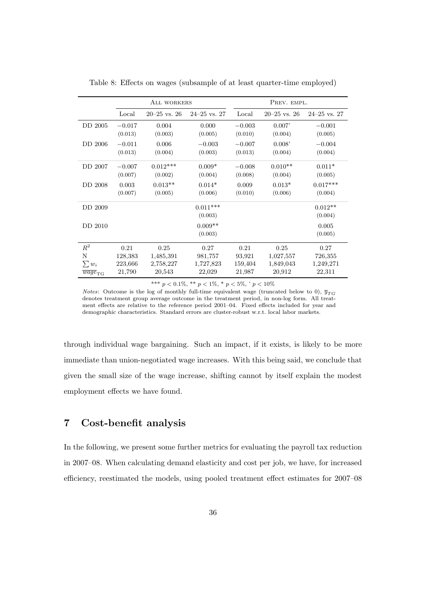|                               | ALL WORKERS |                    |                  | PREV. EMPL. |                  |                  |
|-------------------------------|-------------|--------------------|------------------|-------------|------------------|------------------|
|                               | Local       | $20 - 25$ vs. $26$ | $24 - 25$ vs. 27 | Local       | $20 - 25$ vs. 26 | $24 - 25$ vs. 27 |
| DD 2005                       | $-0.017$    | 0.004              | 0.000            | $-0.003$    | 0.007'           | $-0.001$         |
|                               | (0.013)     | (0.003)            | (0.005)          | (0.010)     | (0.004)          | (0.005)          |
| DD 2006                       | $-0.011$    | 0.006              | $-0.003$         | $-0.007$    | 0.008'           | $-0.004$         |
|                               | (0.013)     | (0.004)            | (0.003)          | (0.013)     | (0.004)          | (0.004)          |
| DD 2007                       | $-0.007$    | $0.012***$         | $0.009*$         | $-0.008$    | $0.010**$        | $0.011*$         |
|                               | (0.007)     | (0.002)            | (0.004)          | (0.008)     | (0.004)          | (0.005)          |
| DD 2008                       | 0.003       | $0.013**$          | $0.014*$         | 0.009       | $0.013*$         | $0.017***$       |
|                               | (0.007)     | (0.005)            | (0.006)          | (0.010)     | (0.006)          | (0.004)          |
| DD 2009                       |             |                    | $0.011***$       |             |                  | $0.012**$        |
|                               |             |                    | (0.003)          |             |                  | (0.004)          |
| DD 2010                       |             |                    | $0.009**$        |             |                  | 0.005            |
|                               |             |                    | (0.003)          |             |                  | (0.005)          |
| $R^2$                         | 0.21        | 0.25               | 0.27             | 0.21        | 0.25             | 0.27             |
| N                             | 128,383     | 1,485,391          | 981,757          | 93,921      | 1,027,557        | 726,355          |
| $\sum w_i$                    | 223,666     | 2,758,227          | 1,727,823        | 159,404     | 1,849,043        | 1,249,271        |
| $\overline{wage}_{\text{TG}}$ | 21,790      | 20,543             | 22,029           | 21,987      | 20,912           | 22,311           |

<span id="page-35-1"></span>Table 8: Effects on wages (subsample of at least quarter-time employed)

\*\*\*  $p < 0.1\%$ , \*\*  $p < 1\%$ , \*  $p < 5\%$ , '  $p < 10\%$ 

*Notes*: Outcome is the log of monthly full-time equivalent wage (truncated below to 0),  $\bar{y}_{TG}$ denotes treatment group average outcome in the treatment period, in non-log form. All treatment effects are relative to the reference period 2001–04. Fixed effects included for year and demographic characteristics. Standard errors are cluster-robust w.r.t. local labor markets.

through individual wage bargaining. Such an impact, if it exists, is likely to be more immediate than union-negotiated wage increases. With this being said, we conclude that given the small size of the wage increase, shifting cannot by itself explain the modest employment effects we have found.

# <span id="page-35-0"></span>7 Cost-benefit analysis

In the following, we present some further metrics for evaluating the payroll tax reduction in 2007–08. When calculating demand elasticity and cost per job, we have, for increased efficiency, reestimated the models, using pooled treatment effect estimates for 2007–08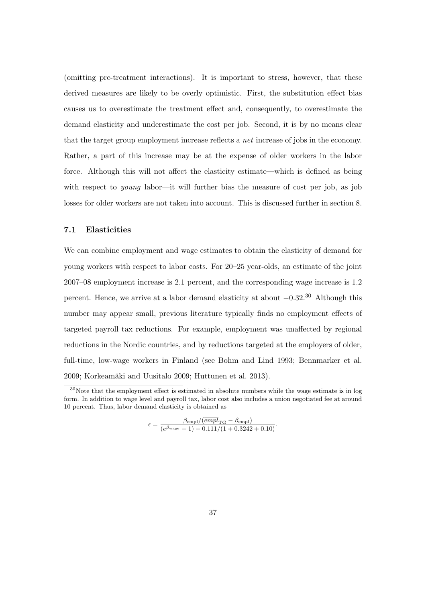(omitting pre-treatment interactions). It is important to stress, however, that these derived measures are likely to be overly optimistic. First, the substitution effect bias causes us to overestimate the treatment effect and, consequently, to overestimate the demand elasticity and underestimate the cost per job. Second, it is by no means clear that the target group employment increase reflects a net increase of jobs in the economy. Rather, a part of this increase may be at the expense of older workers in the labor force. Although this will not affect the elasticity estimate—which is defined as being with respect to young labor—it will further bias the measure of cost per job, as job losses for older workers are not taken into account. This is discussed further in section [8.](#page-39-0)

## 7.1 Elasticities

We can combine employment and wage estimates to obtain the elasticity of demand for young workers with respect to labor costs. For 20–25 year-olds, an estimate of the joint 2007–08 employment increase is 2.1 percent, and the corresponding wage increase is 1.2 percent. Hence, we arrive at a labor demand elasticity at about  $-0.32^{30}$  $-0.32^{30}$  $-0.32^{30}$  Although this number may appear small, previous literature typically finds no employment effects of targeted payroll tax reductions. For example, employment was unaffected by regional reductions in the Nordic countries, and by reductions targeted at the employers of older, full-time, low-wage workers in Finland (see [Bohm and Lind 1993;](#page-44-2) [Bennmarker et al.](#page-44-3) [2009;](#page-44-3) Korkeamäki and Uusitalo 2009; [Huttunen et al. 2013\)](#page-45-5).

$$
\epsilon = \frac{\beta_{\rm empl}/(\overline{empl}_{\rm TG} - \beta_{\rm empl})}{(e^{\beta_{\rm wage}} - 1) - 0.111/(1 + 0.3242 + 0.10)}.
$$

<span id="page-36-0"></span> $30$ Note that the employment effect is estimated in absolute numbers while the wage estimate is in log form. In addition to wage level and payroll tax, labor cost also includes a union negotiated fee at around 10 percent. Thus, labor demand elasticity is obtained as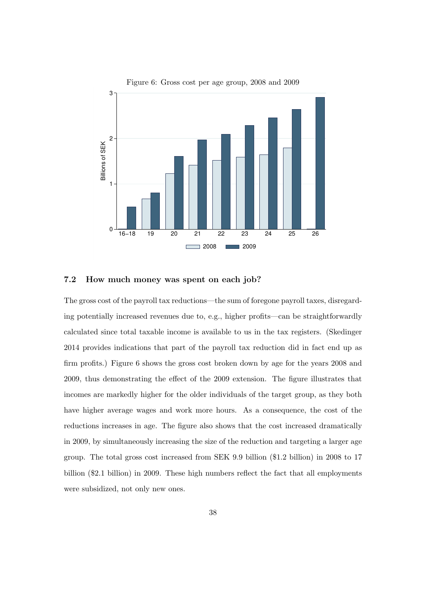

<span id="page-37-0"></span>Figure 6: Gross cost per age group, 2008 and 2009

### 7.2 How much money was spent on each job?

The gross cost of the payroll tax reductions—the sum of foregone payroll taxes, disregarding potentially increased revenues due to, e.g., higher profits—can be straightforwardly calculated since total taxable income is available to us in the tax registers. [\(Skedinger](#page-46-3) [2014](#page-46-3) provides indications that part of the payroll tax reduction did in fact end up as firm profits.) Figure [6](#page-37-0) shows the gross cost broken down by age for the years 2008 and 2009, thus demonstrating the effect of the 2009 extension. The figure illustrates that incomes are markedly higher for the older individuals of the target group, as they both have higher average wages and work more hours. As a consequence, the cost of the reductions increases in age. The figure also shows that the cost increased dramatically in 2009, by simultaneously increasing the size of the reduction and targeting a larger age group. The total gross cost increased from SEK 9.9 billion (\$1.2 billion) in 2008 to 17 billion (\$2.1 billion) in 2009. These high numbers reflect the fact that all employments were subsidized, not only new ones.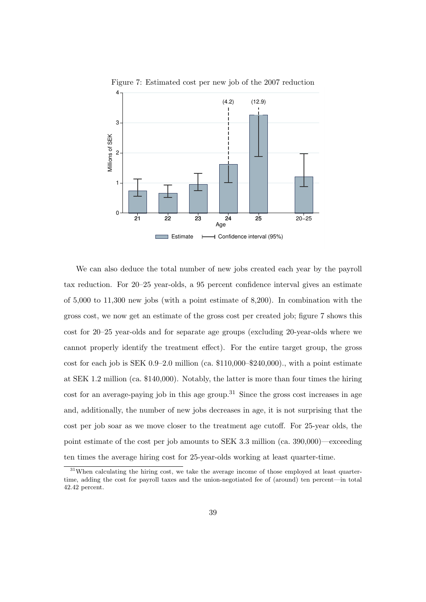

<span id="page-38-0"></span>Figure 7: Estimated cost per new job of the 2007 reduction

We can also deduce the total number of new jobs created each year by the payroll tax reduction. For 20–25 year-olds, a 95 percent confidence interval gives an estimate of 5,000 to 11,300 new jobs (with a point estimate of 8,200). In combination with the gross cost, we now get an estimate of the gross cost per created job; figure [7](#page-38-0) shows this cost for 20–25 year-olds and for separate age groups (excluding 20-year-olds where we cannot properly identify the treatment effect). For the entire target group, the gross cost for each job is SEK 0.9–2.0 million (ca. \$110,000–\$240,000)., with a point estimate at SEK 1.2 million (ca. \$140,000). Notably, the latter is more than four times the hiring cost for an average-paying job in this age group.<sup>[31](#page-38-1)</sup> Since the gross cost increases in age and, additionally, the number of new jobs decreases in age, it is not surprising that the cost per job soar as we move closer to the treatment age cutoff. For 25-year olds, the point estimate of the cost per job amounts to SEK 3.3 million (ca. 390,000)—exceeding ten times the average hiring cost for 25-year-olds working at least quarter-time.

<span id="page-38-1"></span><sup>&</sup>lt;sup>31</sup>When calculating the hiring cost, we take the average income of those employed at least quartertime, adding the cost for payroll taxes and the union-negotiated fee of (around) ten percent—in total 42.42 percent.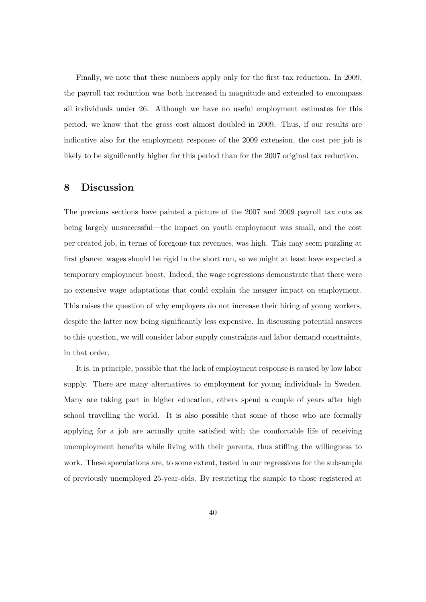Finally, we note that these numbers apply only for the first tax reduction. In 2009, the payroll tax reduction was both increased in magnitude and extended to encompass all individuals under 26. Although we have no useful employment estimates for this period, we know that the gross cost almost doubled in 2009. Thus, if our results are indicative also for the employment response of the 2009 extension, the cost per job is likely to be significantly higher for this period than for the 2007 original tax reduction.

# <span id="page-39-0"></span>8 Discussion

The previous sections have painted a picture of the 2007 and 2009 payroll tax cuts as being largely unsuccessful—the impact on youth employment was small, and the cost per created job, in terms of foregone tax revenues, was high. This may seem puzzling at first glance: wages should be rigid in the short run, so we might at least have expected a temporary employment boost. Indeed, the wage regressions demonstrate that there were no extensive wage adaptations that could explain the meager impact on employment. This raises the question of why employers do not increase their hiring of young workers, despite the latter now being significantly less expensive. In discussing potential answers to this question, we will consider labor supply constraints and labor demand constraints, in that order.

It is, in principle, possible that the lack of employment response is caused by low labor supply. There are many alternatives to employment for young individuals in Sweden. Many are taking part in higher education, others spend a couple of years after high school travelling the world. It is also possible that some of those who are formally applying for a job are actually quite satisfied with the comfortable life of receiving unemployment benefits while living with their parents, thus stifling the willingness to work. These speculations are, to some extent, tested in our regressions for the subsample of previously unemployed 25-year-olds. By restricting the sample to those registered at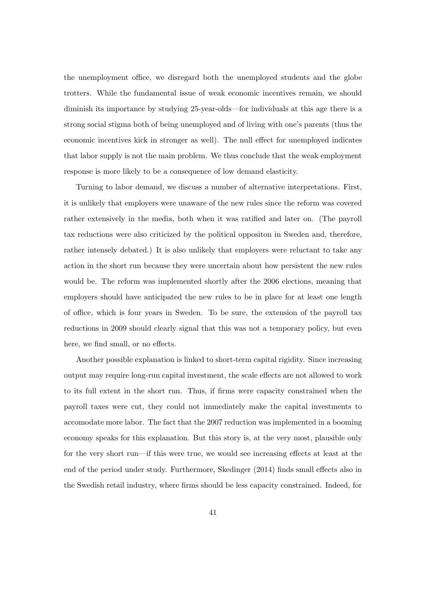the unemployment office, we disregard both the unemployed students and the globe trotters. While the fundamental issue of weak economic incentives remain, we should diminish its importance by studying 25-year-olds—for individuals at this age there is a strong social stigma both of being unemployed and of living with one's parents (thus the economic incentives kick in stronger as well). The null effect for unemployed indicates that labor supply is not the main problem. We thus conclude that the weak employment response is more likely to be a consequence of low demand elasticity.

Turning to labor demand, we discuss a number of alternative interpretations. First, it is unlikely that employers were unaware of the new rules since the reform was covered rather extensively in the media, both when it was ratified and later on. (The payroll tax reductions were also criticized by the political oppositon in Sweden and, therefore, rather intensely debated.) It is also unlikely that employers were reluctant to take any action in the short run because they were uncertain about how persistent the new rules would be. The reform was implemented shortly after the 2006 elections, meaning that employers should have anticipated the new rules to be in place for at least one length of office, which is four years in Sweden. To be sure, the extension of the payroll tax reductions in 2009 should clearly signal that this was not a temporary policy, but even here, we find small, or no effects.

Another possible explanation is linked to short-term capital rigidity. Since increasing output may require long-run capital investment, the scale effects are not allowed to work to its full extent in the short run. Thus, if firms were capacity constrained when the payroll taxes were cut, they could not immediately make the capital investments to accomodate more labor. The fact that the 2007 reduction was implemented in a booming economy speaks for this explanation. But this story is, at the very most, plausible only for the very short run—if this were true, we would see increasing effects at least at the end of the period under study. Furthermore, [Skedinger](#page-46-3) [\(2014\)](#page-46-3) finds small effects also in the Swedish retail industry, where firms should be less capacity constrained. Indeed, for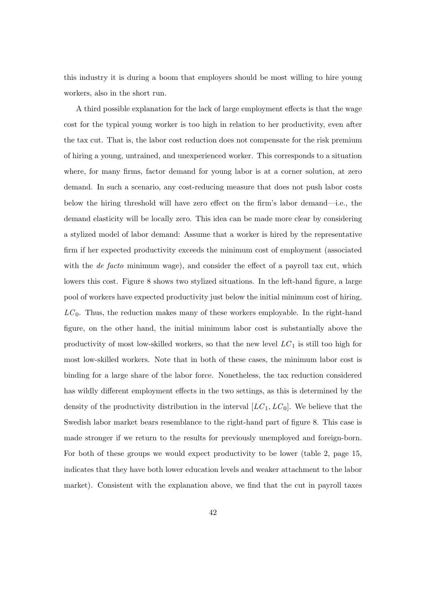this industry it is during a boom that employers should be most willing to hire young workers, also in the short run.

A third possible explanation for the lack of large employment effects is that the wage cost for the typical young worker is too high in relation to her productivity, even after the tax cut. That is, the labor cost reduction does not compensate for the risk premium of hiring a young, untrained, and unexperienced worker. This corresponds to a situation where, for many firms, factor demand for young labor is at a corner solution, at zero demand. In such a scenario, any cost-reducing measure that does not push labor costs below the hiring threshold will have zero effect on the firm's labor demand—i.e., the demand elasticity will be locally zero. This idea can be made more clear by considering a stylized model of labor demand: Assume that a worker is hired by the representative firm if her expected productivity exceeds the minimum cost of employment (associated with the *de facto* minimum wage), and consider the effect of a payroll tax cut, which lowers this cost. Figure [8](#page-42-0) shows two stylized situations. In the left-hand figure, a large pool of workers have expected productivity just below the initial minimum cost of hiring,  $LC<sub>0</sub>$ . Thus, the reduction makes many of these workers employable. In the right-hand figure, on the other hand, the initial minimum labor cost is substantially above the productivity of most low-skilled workers, so that the new level  $LC_1$  is still too high for most low-skilled workers. Note that in both of these cases, the minimum labor cost is binding for a large share of the labor force. Nonetheless, the tax reduction considered has wildly different employment effects in the two settings, as this is determined by the density of the productivity distribution in the interval  $[LC_1, LC_0]$ . We believe that the Swedish labor market bears resemblance to the right-hand part of figure [8.](#page-42-0) This case is made stronger if we return to the results for previously unemployed and foreign-born. For both of these groups we would expect productivity to be lower (table [2,](#page-14-1) page [15,](#page-14-1) indicates that they have both lower education levels and weaker attachment to the labor market). Consistent with the explanation above, we find that the cut in payroll taxes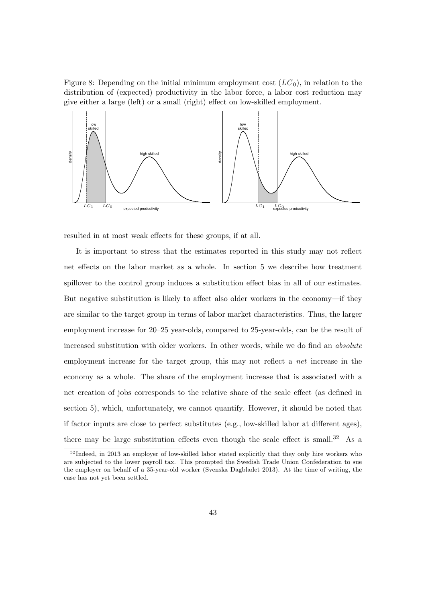<span id="page-42-0"></span>Figure 8: Depending on the initial minimum employment cost  $(LC<sub>0</sub>)$ , in relation to the distribution of (expected) productivity in the labor force, a labor cost reduction may give either a large (left) or a small (right) effect on low-skilled employment.



resulted in at most weak effects for these groups, if at all.

It is important to stress that the estimates reported in this study may not reflect net effects on the labor market as a whole. In section [5](#page-15-0) we describe how treatment spillover to the control group induces a substitution effect bias in all of our estimates. But negative substitution is likely to affect also older workers in the economy—if they are similar to the target group in terms of labor market characteristics. Thus, the larger employment increase for 20–25 year-olds, compared to 25-year-olds, can be the result of increased substitution with older workers. In other words, while we do find an *absolute* employment increase for the target group, this may not reflect a net increase in the economy as a whole. The share of the employment increase that is associated with a net creation of jobs corresponds to the relative share of the scale effect (as defined in section [5\)](#page-15-0), which, unfortunately, we cannot quantify. However, it should be noted that if factor inputs are close to perfect substitutes (e.g., low-skilled labor at different ages), there may be large substitution effects even though the scale effect is small.<sup>[32](#page-42-1)</sup> As a

<span id="page-42-1"></span><sup>&</sup>lt;sup>32</sup>Indeed, in 2013 an employer of low-skilled labor stated explicitly that they only hire workers who are subjected to the lower payroll tax. This prompted the Swedish Trade Union Confederation to sue the employer on behalf of a 35-year-old worker [\(Svenska Dagbladet 2013\)](#page-46-7). At the time of writing, the case has not yet been settled.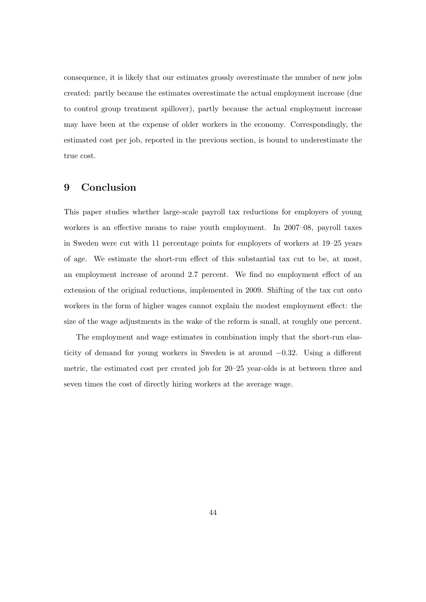consequence, it is likely that our estimates grossly overestimate the number of new jobs created: partly because the estimates overestimate the actual employment increase (due to control group treatment spillover), partly because the actual employment increase may have been at the expense of older workers in the economy. Correspondingly, the estimated cost per job, reported in the previous section, is bound to underestimate the true cost.

# <span id="page-43-0"></span>9 Conclusion

This paper studies whether large-scale payroll tax reductions for employers of young workers is an effective means to raise youth employment. In 2007–08, payroll taxes in Sweden were cut with 11 percentage points for employers of workers at 19–25 years of age. We estimate the short-run effect of this substantial tax cut to be, at most, an employment increase of around 2.7 percent. We find no employment effect of an extension of the original reductions, implemented in 2009. Shifting of the tax cut onto workers in the form of higher wages cannot explain the modest employment effect: the size of the wage adjustments in the wake of the reform is small, at roughly one percent.

The employment and wage estimates in combination imply that the short-run elasticity of demand for young workers in Sweden is at around −0.32. Using a different metric, the estimated cost per created job for 20–25 year-olds is at between three and seven times the cost of directly hiring workers at the average wage.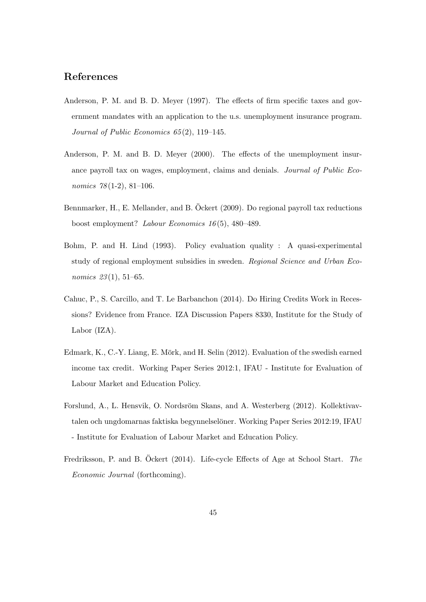# References

- <span id="page-44-0"></span>Anderson, P. M. and B. D. Meyer (1997). The effects of firm specific taxes and government mandates with an application to the u.s. unemployment insurance program. Journal of Public Economics 65 (2), 119–145.
- <span id="page-44-1"></span>Anderson, P. M. and B. D. Meyer (2000). The effects of the unemployment insurance payroll tax on wages, employment, claims and denials. Journal of Public Economics  $78(1-2)$ , 81-106.
- <span id="page-44-3"></span>Bennmarker, H., E. Mellander, and B. Öckert (2009). Do regional payroll tax reductions boost employment? Labour Economics 16 (5), 480–489.
- <span id="page-44-2"></span>Bohm, P. and H. Lind (1993). Policy evaluation quality : A quasi-experimental study of regional employment subsidies in sweden. Regional Science and Urban Economics 23(1), 51–65.
- <span id="page-44-4"></span>Cahuc, P., S. Carcillo, and T. Le Barbanchon (2014). Do Hiring Credits Work in Recessions? Evidence from France. IZA Discussion Papers 8330, Institute for the Study of Labor (IZA).
- <span id="page-44-5"></span>Edmark, K., C.-Y. Liang, E. Mörk, and H. Selin (2012). Evaluation of the swedish earned income tax credit. Working Paper Series 2012:1, IFAU - Institute for Evaluation of Labour Market and Education Policy.
- <span id="page-44-7"></span>Forslund, A., L. Hensvik, O. Nordsröm Skans, and A. Westerberg (2012). Kollektivavtalen och ungdomarnas faktiska begynnelselöner. Working Paper Series 2012:19, IFAU - Institute for Evaluation of Labour Market and Education Policy.
- <span id="page-44-6"></span>Fredriksson, P. and B. Öckert (2014). Life-cycle Effects of Age at School Start. The Economic Journal (forthcoming).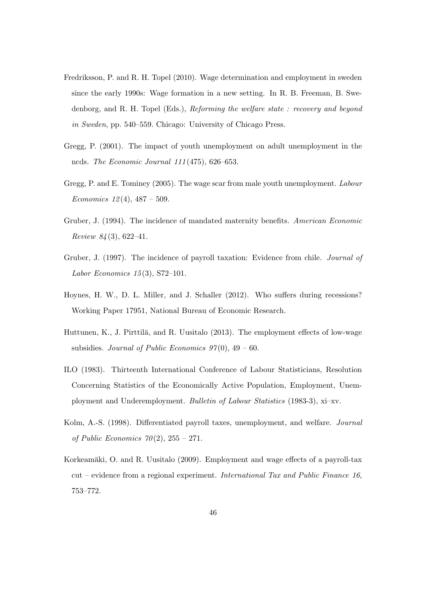- <span id="page-45-6"></span>Fredriksson, P. and R. H. Topel (2010). Wage determination and employment in sweden since the early 1990s: Wage formation in a new setting. In R. B. Freeman, B. Swedenborg, and R. H. Topel (Eds.), Reforming the welfare state : recovery and beyond in Sweden, pp. 540–559. Chicago: University of Chicago Press.
- <span id="page-45-0"></span>Gregg, P. (2001). The impact of youth unemployment on adult unemployment in the ncds. The Economic Journal 111 (475), 626–653.
- <span id="page-45-1"></span>Gregg, P. and E. Tominey (2005). The wage scar from male youth unemployment. Labour Economics  $12(4)$ ,  $487 - 509$ .
- <span id="page-45-2"></span>Gruber, J. (1994). The incidence of mandated maternity benefits. American Economic Review  $84(3)$ , 622-41.
- <span id="page-45-3"></span>Gruber, J. (1997). The incidence of payroll taxation: Evidence from chile. Journal of Labor Economics  $15(3)$ , S72-101.
- <span id="page-45-8"></span>Hoynes, H. W., D. L. Miller, and J. Schaller (2012). Who suffers during recessions? Working Paper 17951, National Bureau of Economic Research.
- <span id="page-45-5"></span>Huttunen, K., J. Pirttilä, and R. Uusitalo (2013). The employment effects of low-wage subsidies. Journal of Public Economics  $97(0)$ ,  $49-60$ .
- <span id="page-45-7"></span>ILO (1983). Thirteenth International Conference of Labour Statisticians, Resolution Concerning Statistics of the Economically Active Population, Employment, Unemployment and Underemployment. Bulletin of Labour Statistics (1983-3), xi–xv.
- <span id="page-45-9"></span>Kolm, A.-S. (1998). Differentiated payroll taxes, unemployment, and welfare. Journal of Public Economics  $70(2)$ ,  $255 - 271$ .
- <span id="page-45-4"></span>Korkeamäki, O. and R. Uusitalo (2009). Employment and wage effects of a payroll-tax cut – evidence from a regional experiment. International Tax and Public Finance 16, 753–772.